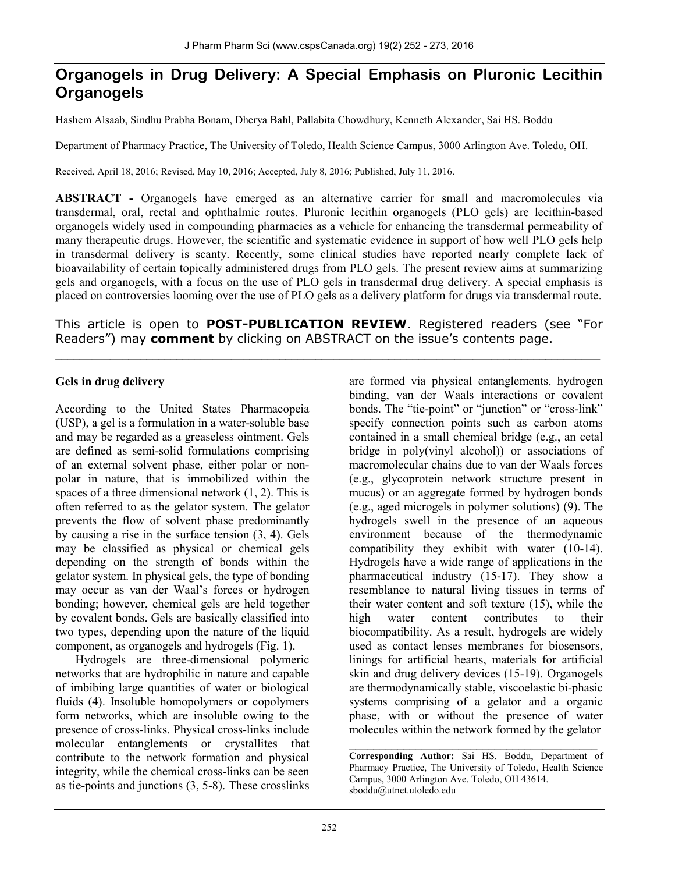# Organogels in Drug Delivery: A Special Emphasis on Pluronic Lecithin **Organogels**

Hashem Alsaab, Sindhu Prabha Bonam, Dherya Bahl, Pallabita Chowdhury, Kenneth Alexander, Sai HS. Boddu

Department of Pharmacy Practice, The University of Toledo, Health Science Campus, 3000 Arlington Ave. Toledo, OH.

Received, April 18, 2016; Revised, May 10, 2016; Accepted, July 8, 2016; Published, July 11, 2016.

ABSTRACT - Organogels have emerged as an alternative carrier for small and macromolecules via transdermal, oral, rectal and ophthalmic routes. Pluronic lecithin organogels (PLO gels) are lecithin-based organogels widely used in compounding pharmacies as a vehicle for enhancing the transdermal permeability of many therapeutic drugs. However, the scientific and systematic evidence in support of how well PLO gels help in transdermal delivery is scanty. Recently, some clinical studies have reported nearly complete lack of bioavailability of certain topically administered drugs from PLO gels. The present review aims at summarizing gels and organogels, with a focus on the use of PLO gels in transdermal drug delivery. A special emphasis is placed on controversies looming over the use of PLO gels as a delivery platform for drugs via transdermal route.

This article is open to **POST-PUBLICATION REVIEW**. Registered readers (see "For Readers") may comment by clicking on ABSTRACT on the issue's contents page.

 $\_$ 

#### Gels in drug delivery

According to the United States Pharmacopeia (USP), a gel is a formulation in a water-soluble base and may be regarded as a greaseless ointment. Gels are defined as semi-solid formulations comprising of an external solvent phase, either polar or nonpolar in nature, that is immobilized within the spaces of a three dimensional network  $(1, 2)$ . This is often referred to as the gelator system. The gelator prevents the flow of solvent phase predominantly by causing a rise in the surface tension (3, 4). Gels may be classified as physical or chemical gels depending on the strength of bonds within the gelator system. In physical gels, the type of bonding may occur as van der Waal's forces or hydrogen bonding; however, chemical gels are held together by covalent bonds. Gels are basically classified into two types, depending upon the nature of the liquid component, as organogels and hydrogels (Fig. 1).

Hydrogels are three-dimensional polymeric networks that are hydrophilic in nature and capable of imbibing large quantities of water or biological fluids (4). Insoluble homopolymers or copolymers form networks, which are insoluble owing to the presence of cross-links. Physical cross-links include molecular entanglements or crystallites that contribute to the network formation and physical integrity, while the chemical cross-links can be seen as tie-points and junctions (3, 5-8). These crosslinks

are formed via physical entanglements, hydrogen binding, van der Waals interactions or covalent bonds. The "tie-point" or "junction" or "cross-link" specify connection points such as carbon atoms contained in a small chemical bridge (e.g., an cetal bridge in poly(vinyl alcohol)) or associations of macromolecular chains due to van der Waals forces (e.g., glycoprotein network structure present in mucus) or an aggregate formed by hydrogen bonds (e.g., aged microgels in polymer solutions) (9). The hydrogels swell in the presence of an aqueous environment because of the thermodynamic compatibility they exhibit with water (10-14). Hydrogels have a wide range of applications in the pharmaceutical industry (15-17). They show a resemblance to natural living tissues in terms of their water content and soft texture (15), while the high water content contributes to their biocompatibility. As a result, hydrogels are widely used as contact lenses membranes for biosensors, linings for artificial hearts, materials for artificial skin and drug delivery devices (15-19). Organogels are thermodynamically stable, viscoelastic bi-phasic systems comprising of a gelator and a organic phase, with or without the presence of water molecules within the network formed by the gelator

\_\_\_\_\_\_\_\_\_\_\_\_\_\_\_\_\_\_\_\_\_\_\_\_\_\_\_\_\_\_\_\_\_\_\_\_\_\_\_\_\_

Corresponding Author: Sai HS. Boddu, Department of Pharmacy Practice, The University of Toledo, Health Science Campus, 3000 Arlington Ave. Toledo, OH 43614. sboddu@utnet.utoledo.edu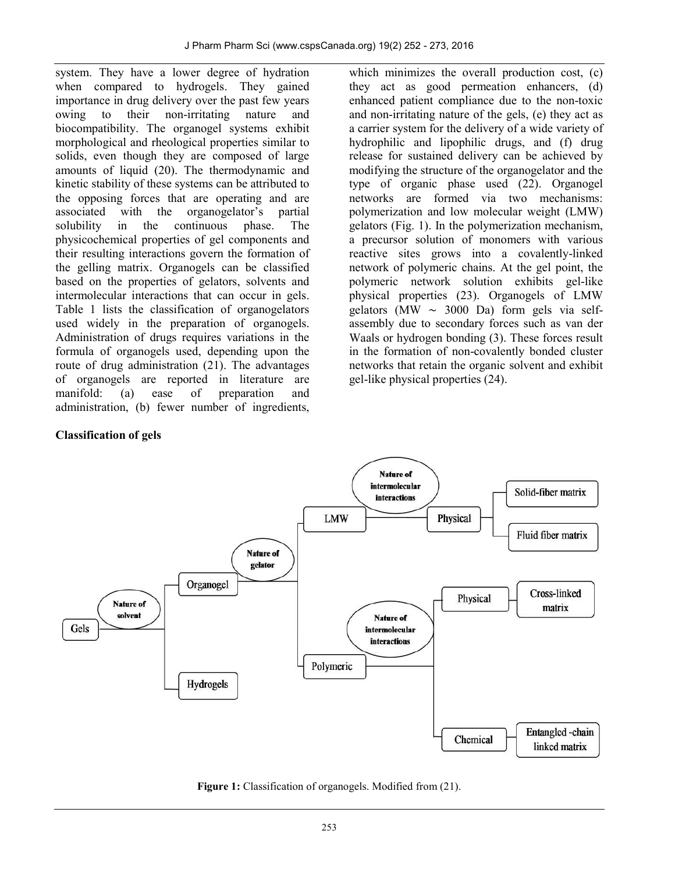system. They have a lower degree of hydration when compared to hydrogels. They gained importance in drug delivery over the past few years owing to their non-irritating nature and biocompatibility. The organogel systems exhibit morphological and rheological properties similar to solids, even though they are composed of large amounts of liquid (20). The thermodynamic and kinetic stability of these systems can be attributed to the opposing forces that are operating and are associated with the organogelator's partial solubility in the continuous phase. The physicochemical properties of gel components and their resulting interactions govern the formation of the gelling matrix. Organogels can be classified based on the properties of gelators, solvents and intermolecular interactions that can occur in gels. Table 1 lists the classification of organogelators used widely in the preparation of organogels. Administration of drugs requires variations in the formula of organogels used, depending upon the route of drug administration (21). The advantages of organogels are reported in literature are manifold: (a) ease of preparation and administration, (b) fewer number of ingredients,

which minimizes the overall production cost, (c) they act as good permeation enhancers, (d) enhanced patient compliance due to the non-toxic and non-irritating nature of the gels, (e) they act as a carrier system for the delivery of a wide variety of hydrophilic and lipophilic drugs, and (f) drug release for sustained delivery can be achieved by modifying the structure of the organogelator and the type of organic phase used (22). Organogel networks are formed via two mechanisms: polymerization and low molecular weight (LMW) gelators (Fig. 1). In the polymerization mechanism, a precursor solution of monomers with various reactive sites grows into a covalently-linked network of polymeric chains. At the gel point, the polymeric network solution exhibits gel-like physical properties (23). Organogels of LMW gelators (MW ∼ 3000 Da) form gels via selfassembly due to secondary forces such as van der Waals or hydrogen bonding (3). These forces result in the formation of non-covalently bonded cluster networks that retain the organic solvent and exhibit gel-like physical properties (24).

### Classification of gels



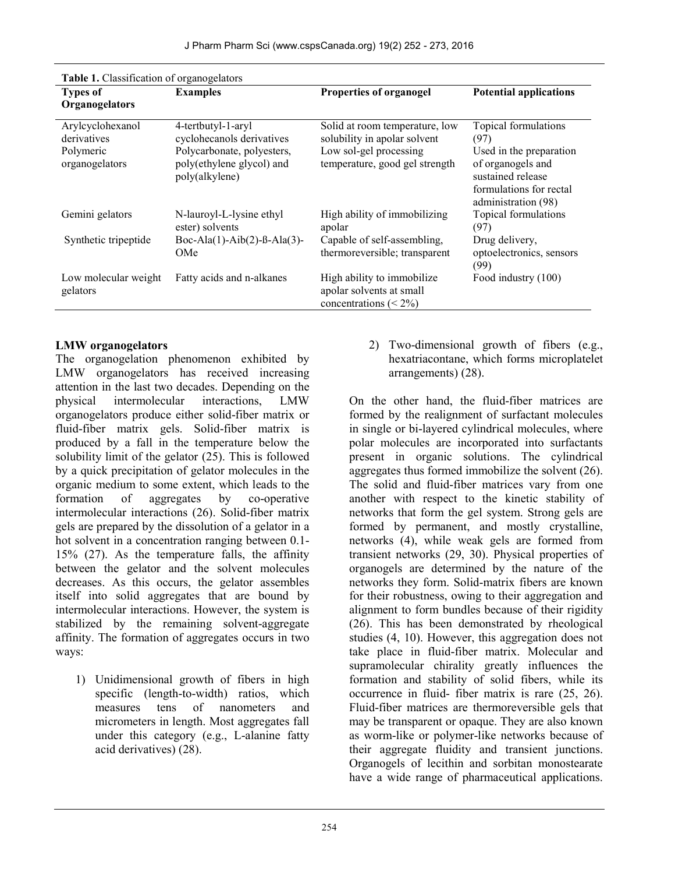|                                   | <b>Table 1.</b> Classification of organogelators                          |                                                                                    |                                                                                                                     |  |  |  |
|-----------------------------------|---------------------------------------------------------------------------|------------------------------------------------------------------------------------|---------------------------------------------------------------------------------------------------------------------|--|--|--|
| <b>Types of</b><br>Organogelators | <b>Examples</b>                                                           | <b>Properties of organogel</b>                                                     | <b>Potential applications</b>                                                                                       |  |  |  |
| Arylcyclohexanol<br>derivatives   | 4-tertbutyl-1-aryl<br>cyclohecanols derivatives                           | Solid at room temperature, low<br>solubility in apolar solvent                     | Topical formulations<br>(97)                                                                                        |  |  |  |
| Polymeric<br>organogelators       | Polycarbonate, polyesters,<br>poly(ethylene glycol) and<br>poly(alkylene) | Low sol-gel processing<br>temperature, good gel strength                           | Used in the preparation<br>of organogels and<br>sustained release<br>formulations for rectal<br>administration (98) |  |  |  |
| Gemini gelators                   | N-lauroyl-L-lysine ethyl<br>ester) solvents                               | High ability of immobilizing<br>apolar                                             | Topical formulations<br>(97)                                                                                        |  |  |  |
| Synthetic tripeptide              | Boc-Ala(1)-Aib(2)- $\beta$ -Ala(3)-<br>OMe                                | Capable of self-assembling,<br>thermoreversible; transparent                       | Drug delivery,<br>optoelectronics, sensors<br>(99)                                                                  |  |  |  |
| Low molecular weight<br>gelators  | Fatty acids and n-alkanes                                                 | High ability to immobilize<br>apolar solvents at small<br>concentrations $(< 2\%)$ | Food industry (100)                                                                                                 |  |  |  |

Table 1. Classification of organogelators

### LMW organogelators

The organogelation phenomenon exhibited by LMW organogelators has received increasing attention in the last two decades. Depending on the physical intermolecular interactions, LMW organogelators produce either solid-fiber matrix or fluid-fiber matrix gels. Solid-fiber matrix is produced by a fall in the temperature below the solubility limit of the gelator  $(25)$ . This is followed by a quick precipitation of gelator molecules in the organic medium to some extent, which leads to the formation of aggregates by co-operative intermolecular interactions (26). Solid-fiber matrix gels are prepared by the dissolution of a gelator in a hot solvent in a concentration ranging between 0.1- 15% (27). As the temperature falls, the affinity between the gelator and the solvent molecules decreases. As this occurs, the gelator assembles itself into solid aggregates that are bound by intermolecular interactions. However, the system is stabilized by the remaining solvent-aggregate affinity. The formation of aggregates occurs in two ways:

1) Unidimensional growth of fibers in high specific (length-to-width) ratios, which measures tens of nanometers and micrometers in length. Most aggregates fall under this category (e.g., L-alanine fatty acid derivatives) (28).

2) Two-dimensional growth of fibers (e.g., hexatriacontane, which forms microplatelet arrangements) (28).

On the other hand, the fluid-fiber matrices are formed by the realignment of surfactant molecules in single or bi-layered cylindrical molecules, where polar molecules are incorporated into surfactants present in organic solutions. The cylindrical aggregates thus formed immobilize the solvent (26). The solid and fluid-fiber matrices vary from one another with respect to the kinetic stability of networks that form the gel system. Strong gels are formed by permanent, and mostly crystalline, networks (4), while weak gels are formed from transient networks (29, 30). Physical properties of organogels are determined by the nature of the networks they form. Solid-matrix fibers are known for their robustness, owing to their aggregation and alignment to form bundles because of their rigidity (26). This has been demonstrated by rheological studies (4, 10). However, this aggregation does not take place in fluid-fiber matrix. Molecular and supramolecular chirality greatly influences the formation and stability of solid fibers, while its occurrence in fluid- fiber matrix is rare (25, 26). Fluid-fiber matrices are thermoreversible gels that may be transparent or opaque. They are also known as worm-like or polymer-like networks because of their aggregate fluidity and transient junctions. Organogels of lecithin and sorbitan monostearate have a wide range of pharmaceutical applications.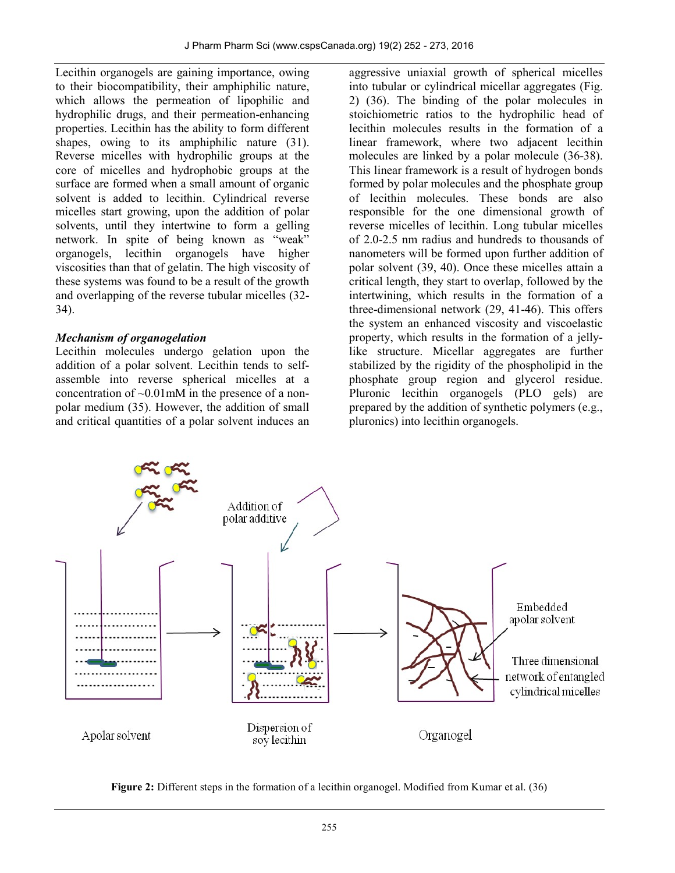Lecithin organogels are gaining importance, owing to their biocompatibility, their amphiphilic nature, which allows the permeation of lipophilic and hydrophilic drugs, and their permeation-enhancing properties. Lecithin has the ability to form different shapes, owing to its amphiphilic nature (31). Reverse micelles with hydrophilic groups at the core of micelles and hydrophobic groups at the surface are formed when a small amount of organic solvent is added to lecithin. Cylindrical reverse micelles start growing, upon the addition of polar solvents, until they intertwine to form a gelling network. In spite of being known as "weak" organogels, lecithin organogels have higher viscosities than that of gelatin. The high viscosity of these systems was found to be a result of the growth and overlapping of the reverse tubular micelles (32- 34).

#### Mechanism of organogelation

Lecithin molecules undergo gelation upon the addition of a polar solvent. Lecithin tends to selfassemble into reverse spherical micelles at a concentration of  $\sim 0.01$  mM in the presence of a nonpolar medium (35). However, the addition of small and critical quantities of a polar solvent induces an

aggressive uniaxial growth of spherical micelles into tubular or cylindrical micellar aggregates (Fig. 2) (36). The binding of the polar molecules in stoichiometric ratios to the hydrophilic head of lecithin molecules results in the formation of a linear framework, where two adjacent lecithin molecules are linked by a polar molecule (36-38). This linear framework is a result of hydrogen bonds formed by polar molecules and the phosphate group of lecithin molecules. These bonds are also responsible for the one dimensional growth of reverse micelles of lecithin. Long tubular micelles of 2.0-2.5 nm radius and hundreds to thousands of nanometers will be formed upon further addition of polar solvent (39, 40). Once these micelles attain a critical length, they start to overlap, followed by the intertwining, which results in the formation of a three-dimensional network (29, 41-46). This offers the system an enhanced viscosity and viscoelastic property, which results in the formation of a jellylike structure. Micellar aggregates are further stabilized by the rigidity of the phospholipid in the phosphate group region and glycerol residue. Pluronic lecithin organogels (PLO gels) are prepared by the addition of synthetic polymers (e.g., pluronics) into lecithin organogels.



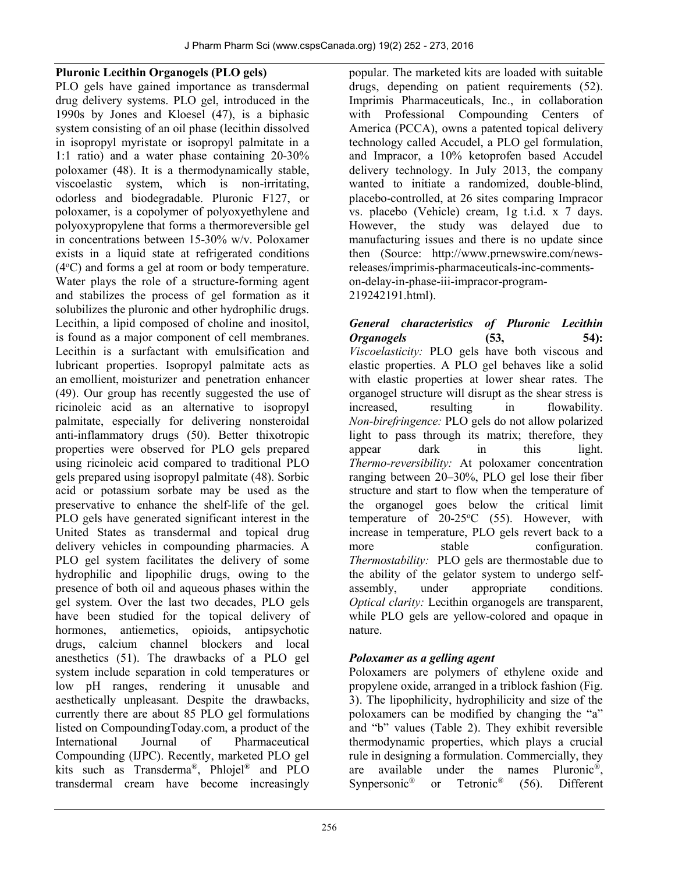### Pluronic Lecithin Organogels (PLO gels)

PLO gels have gained importance as transdermal drug delivery systems. PLO gel, introduced in the 1990s by Jones and Kloesel (47), is a biphasic system consisting of an oil phase (lecithin dissolved in isopropyl myristate or isopropyl palmitate in a 1:1 ratio) and a water phase containing 20-30% poloxamer (48). It is a thermodynamically stable, viscoelastic system, which is non-irritating, odorless and biodegradable. Pluronic F127, or poloxamer, is a copolymer of polyoxyethylene and polyoxypropylene that forms a thermoreversible gel in concentrations between 15-30% w/v. Poloxamer exists in a liquid state at refrigerated conditions  $(4^{\circ}C)$  and forms a gel at room or body temperature. Water plays the role of a structure-forming agent and stabilizes the process of gel formation as it solubilizes the pluronic and other hydrophilic drugs. Lecithin, a lipid composed of choline and inositol, is found as a major component of cell membranes. Lecithin is a surfactant with emulsification and lubricant properties. Isopropyl palmitate acts as an emollient, moisturizer and penetration enhancer (49). Our group has recently suggested the use of ricinoleic acid as an alternative to isopropyl palmitate, especially for delivering nonsteroidal anti-inflammatory drugs (50). Better thixotropic properties were observed for PLO gels prepared using ricinoleic acid compared to traditional PLO gels prepared using isopropyl palmitate (48). Sorbic acid or potassium sorbate may be used as the preservative to enhance the shelf-life of the gel. PLO gels have generated significant interest in the United States as transdermal and topical drug delivery vehicles in compounding pharmacies. A PLO gel system facilitates the delivery of some hydrophilic and lipophilic drugs, owing to the presence of both oil and aqueous phases within the gel system. Over the last two decades, PLO gels have been studied for the topical delivery of hormones, antiemetics, opioids, antipsychotic drugs, calcium channel blockers and local anesthetics (51). The drawbacks of a PLO gel system include separation in cold temperatures or low pH ranges, rendering it unusable and aesthetically unpleasant. Despite the drawbacks, currently there are about 85 PLO gel formulations listed on CompoundingToday.com, a product of the International Journal of Pharmaceutical Compounding (IJPC). Recently, marketed PLO gel kits such as Transderma® , Phlojel® and PLO transdermal cream have become increasingly

popular. The marketed kits are loaded with suitable drugs, depending on patient requirements (52). Imprimis Pharmaceuticals, Inc., in collaboration with Professional Compounding Centers of America (PCCA), owns a patented topical delivery technology called Accudel, a PLO gel formulation, and Impracor, a 10% ketoprofen based Accudel delivery technology. In July 2013, the company wanted to initiate a randomized, double-blind, placebo-controlled, at 26 sites comparing Impracor vs. placebo (Vehicle) cream, 1g t.i.d. x 7 days. However, the study was delayed due to manufacturing issues and there is no update since then (Source: http://www.prnewswire.com/newsreleases/imprimis-pharmaceuticals-inc-commentson-delay-in-phase-iii-impracor-program-219242191.html).

General characteristics of Pluronic Lecithin Organogels (53, 54): Viscoelasticity: PLO gels have both viscous and elastic properties. A PLO gel behaves like a solid with elastic properties at lower shear rates. The organogel structure will disrupt as the shear stress is increased, resulting in flowability. Non-birefringence: PLO gels do not allow polarized light to pass through its matrix; therefore, they appear dark in this light. Thermo-reversibility: At poloxamer concentration ranging between 20–30%, PLO gel lose their fiber structure and start to flow when the temperature of the organogel goes below the critical limit temperature of  $20-25$ °C (55). However, with increase in temperature, PLO gels revert back to a more stable configuration. Thermostability: PLO gels are thermostable due to the ability of the gelator system to undergo self-<br>assembly, under appropriate conditions. assembly, under appropriate Optical clarity: Lecithin organogels are transparent, while PLO gels are yellow-colored and opaque in nature.

### Poloxamer as a gelling agent

Poloxamers are polymers of ethylene oxide and propylene oxide, arranged in a triblock fashion (Fig. 3). The lipophilicity, hydrophilicity and size of the poloxamers can be modified by changing the "a" and "b" values (Table 2). They exhibit reversible thermodynamic properties, which plays a crucial rule in designing a formulation. Commercially, they are available under the names Pluronic® , Synpersonic<sup>®</sup> or Tetronic® (56). Different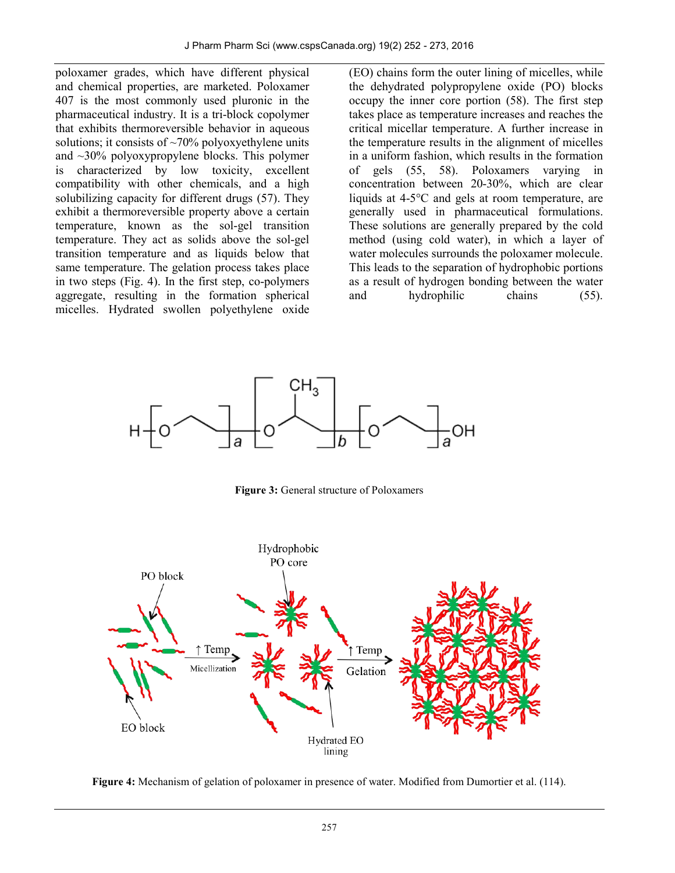poloxamer grades, which have different physical and chemical properties, are marketed. Poloxamer 407 is the most commonly used pluronic in the pharmaceutical industry. It is a tri-block copolymer that exhibits thermoreversible behavior in aqueous solutions; it consists of  $\sim$ 70% polyoxyethylene units and  $\sim$ 30% polyoxypropylene blocks. This polymer is characterized by low toxicity, excellent compatibility with other chemicals, and a high solubilizing capacity for different drugs (57). They exhibit a thermoreversible property above a certain temperature, known as the sol-gel transition temperature. They act as solids above the sol-gel transition temperature and as liquids below that same temperature. The gelation process takes place in two steps (Fig. 4). In the first step, co-polymers aggregate, resulting in the formation spherical micelles. Hydrated swollen polyethylene oxide

(EO) chains form the outer lining of micelles, while the dehydrated polypropylene oxide (PO) blocks occupy the inner core portion (58). The first step takes place as temperature increases and reaches the critical micellar temperature. A further increase in the temperature results in the alignment of micelles in a uniform fashion, which results in the formation of gels (55, 58). Poloxamers varying in concentration between 20-30%, which are clear liquids at 4-5°C and gels at room temperature, are generally used in pharmaceutical formulations. These solutions are generally prepared by the cold method (using cold water), in which a layer of water molecules surrounds the poloxamer molecule. This leads to the separation of hydrophobic portions as a result of hydrogen bonding between the water and hydrophilic chains (55).



Figure 3: General structure of Poloxamers



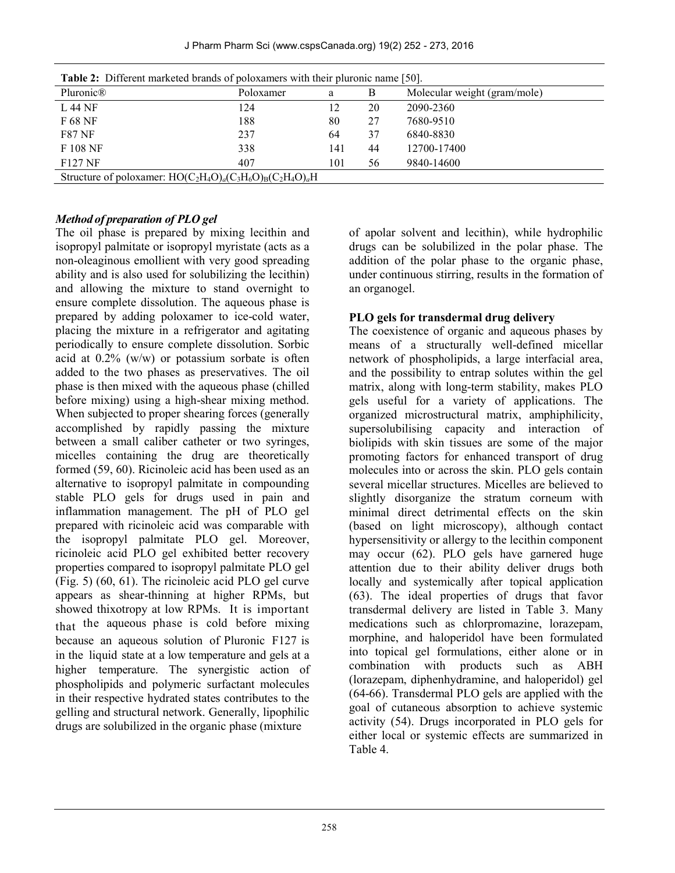| J Pharm Pharm Sci (www.cspsCanada.org) 19(2) 252 - 273, 2016 |  |  |  |  |
|--------------------------------------------------------------|--|--|--|--|
|--------------------------------------------------------------|--|--|--|--|

| <b>Table 2:</b> Different marketed brands of poloxamers with their pluronic name [50]. |           |     |    |                              |
|----------------------------------------------------------------------------------------|-----------|-----|----|------------------------------|
| Pluronic <sup>®</sup>                                                                  | Poloxamer | a   | В  | Molecular weight (gram/mole) |
| L 44 NF                                                                                | 124       | 12  | 20 | 2090-2360                    |
| F 68 NF                                                                                | 188       | 80  | 27 | 7680-9510                    |
| <b>F87 NF</b>                                                                          | 237       | 64  | 37 | 6840-8830                    |
| F 108 NF                                                                               | 338       | 141 | 44 | 12700-17400                  |
| F127 NF                                                                                | 407       | 101 | 56 | 9840-14600                   |
| Structure of poloxamer: $HO(C_2H_4O)_a(C_3H_6O)_B(C_2H_4O)_aH$                         |           |     |    |                              |

| Table 2: Different marketed brands of poloxamers with their pluronic name [50]. |  |  |  |
|---------------------------------------------------------------------------------|--|--|--|

### Method of preparation of PLO gel

The oil phase is prepared by mixing lecithin and isopropyl palmitate or isopropyl myristate (acts as a non-oleaginous emollient with very good spreading ability and is also used for solubilizing the lecithin) and allowing the mixture to stand overnight to ensure complete dissolution. The aqueous phase is prepared by adding poloxamer to ice-cold water, placing the mixture in a refrigerator and agitating periodically to ensure complete dissolution. Sorbic acid at 0.2% (w/w) or potassium sorbate is often added to the two phases as preservatives. The oil phase is then mixed with the aqueous phase (chilled before mixing) using a high-shear mixing method. When subjected to proper shearing forces (generally accomplished by rapidly passing the mixture between a small caliber catheter or two syringes, micelles containing the drug are theoretically formed (59, 60). Ricinoleic acid has been used as an alternative to isopropyl palmitate in compounding stable PLO gels for drugs used in pain and inflammation management. The pH of PLO gel prepared with ricinoleic acid was comparable with the isopropyl palmitate PLO gel. Moreover, ricinoleic acid PLO gel exhibited better recovery properties compared to isopropyl palmitate PLO gel (Fig. 5) (60, 61). The ricinoleic acid PLO gel curve appears as shear-thinning at higher RPMs, but showed thixotropy at low RPMs. It is important that the aqueous phase is cold before mixing because an aqueous solution of Pluronic F127 is in the liquid state at a low temperature and gels at a higher temperature. The synergistic action of phospholipids and polymeric surfactant molecules in their respective hydrated states contributes to the gelling and structural network. Generally, lipophilic drugs are solubilized in the organic phase (mixture

of apolar solvent and lecithin), while hydrophilic drugs can be solubilized in the polar phase. The addition of the polar phase to the organic phase, under continuous stirring, results in the formation of an organogel.

### PLO gels for transdermal drug delivery

The coexistence of organic and aqueous phases by means of a structurally well-defined micellar network of phospholipids, a large interfacial area, and the possibility to entrap solutes within the gel matrix, along with long-term stability, makes PLO gels useful for a variety of applications. The organized microstructural matrix, amphiphilicity, supersolubilising capacity and interaction of biolipids with skin tissues are some of the major promoting factors for enhanced transport of drug molecules into or across the skin. PLO gels contain several micellar structures. Micelles are believed to slightly disorganize the stratum corneum with minimal direct detrimental effects on the skin (based on light microscopy), although contact hypersensitivity or allergy to the lecithin component may occur (62). PLO gels have garnered huge attention due to their ability deliver drugs both locally and systemically after topical application (63). The ideal properties of drugs that favor transdermal delivery are listed in Table 3. Many medications such as chlorpromazine, lorazepam, morphine, and haloperidol have been formulated into topical gel formulations, either alone or in combination with products such as ABH (lorazepam, diphenhydramine, and haloperidol) gel (64-66). Transdermal PLO gels are applied with the goal of cutaneous absorption to achieve systemic activity (54). Drugs incorporated in PLO gels for either local or systemic effects are summarized in Table 4.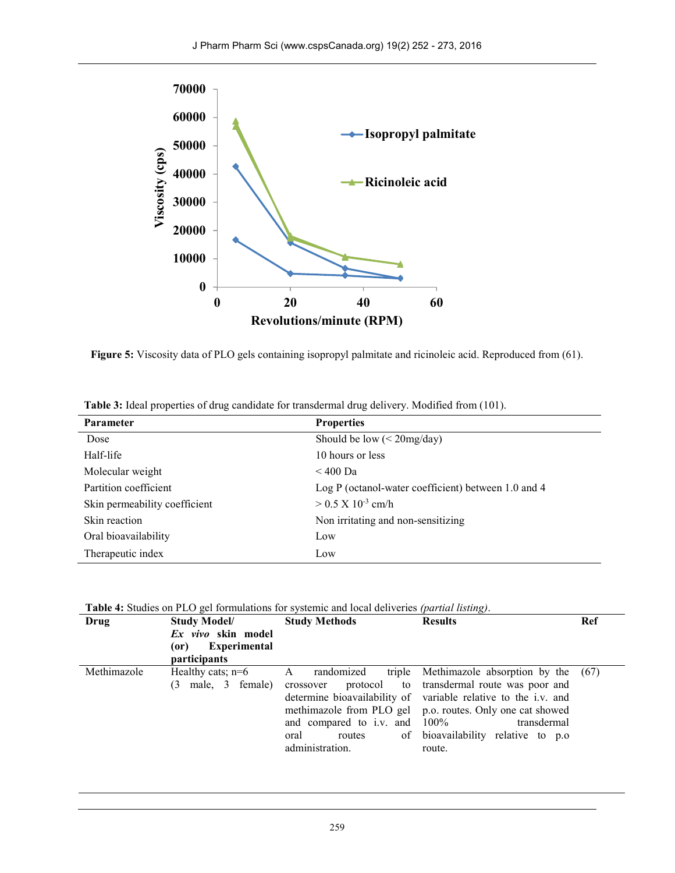

Figure 5: Viscosity data of PLO gels containing isopropyl palmitate and ricinoleic acid. Reproduced from (61).

| <b>Parameter</b>              | <b>Properties</b>                                       |
|-------------------------------|---------------------------------------------------------|
| Dose                          | Should be low $(< 20$ mg/day)                           |
| Half-life                     | 10 hours or less                                        |
| Molecular weight              | $<$ 400 Da                                              |
| Partition coefficient         | Log P (octanol-water coefficient) between $1.0$ and $4$ |
| Skin permeability coefficient | $> 0.5 \times 10^{-3}$ cm/h                             |
| Skin reaction                 | Non irritating and non-sensitizing                      |
| Oral bioavailability          | Low                                                     |
| Therapeutic index             | Low                                                     |

Table 3: Ideal properties of drug candidate for transdermal drug delivery. Modified from (101).

| Table 4: Studies on PLO gel formulations for systemic and local deliveries (partial listing). |  |  |  |  |
|-----------------------------------------------------------------------------------------------|--|--|--|--|
|-----------------------------------------------------------------------------------------------|--|--|--|--|

| Drug        | <b>Study Model/</b><br>Ex vivo skin model<br>(or) Experimental<br><i>participants</i> | <b>Study Methods</b>                                                  | <b>Results</b>                                                                                                                                                                                                                                                                                  | Ref |
|-------------|---------------------------------------------------------------------------------------|-----------------------------------------------------------------------|-------------------------------------------------------------------------------------------------------------------------------------------------------------------------------------------------------------------------------------------------------------------------------------------------|-----|
| Methimazole | Healthy cats; $n=6$ A randomized<br>$(3 \text{ male}, 3 \text{ female})$              | and compared to i.v. and $100\%$<br>oral<br>routes<br>administration. | triple Methimazole absorption by the (67)<br>crossover protocol to transdermal route was poor and<br>determine bioavailability of variable relative to the i.v. and<br>methimazole from PLO gel p.o. routes. Only one cat showed<br>transdermal<br>of bioavailability relative to p.o<br>route. |     |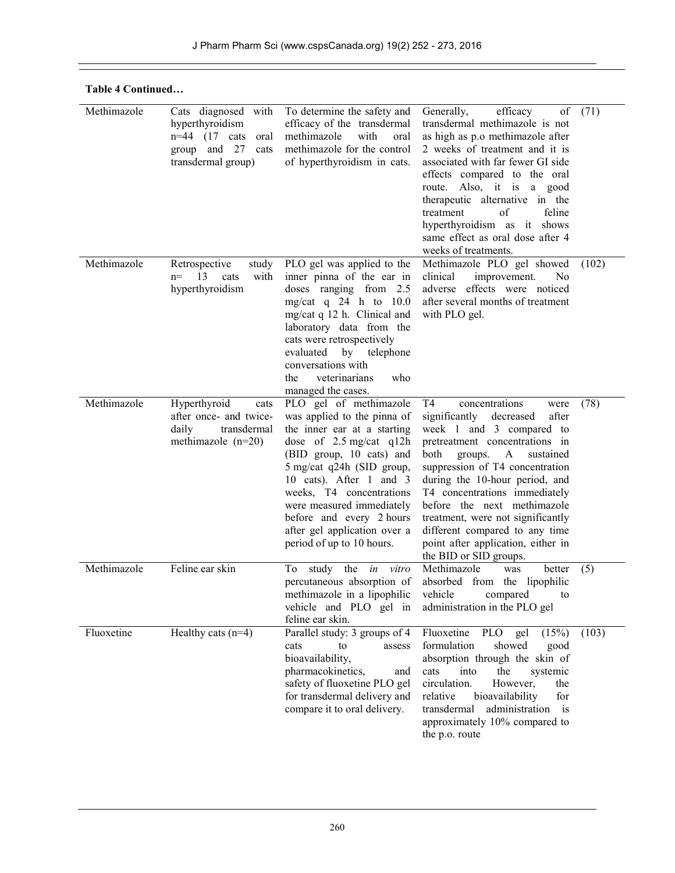| Methimazole | Cats diagnosed with<br>hyperthyroidism<br>$n=44$ (17 cats<br>oral<br>group and 27<br>cats<br>transdermal group) | To determine the safety and<br>efficacy of the transdermal<br>methimazole<br>with<br>oral<br>methimazole for the control<br>of hyperthyroidism in cats.                                                                                                                                                                                               | Generally,<br>efficacy<br>of<br>transdermal methimazole is not<br>as high as p.o methimazole after<br>2 weeks of treatment and it is<br>associated with far fewer GI side<br>effects compared to the oral<br>route. Also, it is a good<br>therapeutic alternative in the<br>treatment<br>of<br>feline<br>hyperthyroidism as it shows<br>same effect as oral dose after 4<br>weeks of treatments.                                                   | (71)  |
|-------------|-----------------------------------------------------------------------------------------------------------------|-------------------------------------------------------------------------------------------------------------------------------------------------------------------------------------------------------------------------------------------------------------------------------------------------------------------------------------------------------|----------------------------------------------------------------------------------------------------------------------------------------------------------------------------------------------------------------------------------------------------------------------------------------------------------------------------------------------------------------------------------------------------------------------------------------------------|-------|
| Methimazole | study<br>Retrospective<br>13<br>with<br>cats<br>$n =$<br>hyperthyroidism                                        | PLO gel was applied to the<br>inner pinna of the ear in<br>doses ranging from 2.5<br>mg/cat q $24$ h to $10.0$<br>mg/cat q 12 h. Clinical and<br>laboratory data from the<br>cats were retrospectively<br>by telephone<br>evaluated<br>conversations with<br>veterinarians<br>who<br>the<br>managed the cases.                                        | Methimazole PLO gel showed<br>clinical<br>improvement.<br>No<br>adverse effects were noticed<br>after several months of treatment<br>with PLO gel.                                                                                                                                                                                                                                                                                                 | (102) |
| Methimazole | Hyperthyroid<br>cats<br>after once- and twice-<br>transdermal<br>daily<br>methimazole $(n=20)$                  | PLO gel of methimazole<br>was applied to the pinna of<br>the inner ear at a starting<br>dose of 2.5 mg/cat q12h<br>(BID group, 10 cats) and<br>5 mg/cat q24h (SID group,<br>10 cats). After 1 and 3<br>weeks, T4 concentrations<br>were measured immediately<br>before and every 2 hours<br>after gel application over a<br>period of up to 10 hours. | T4<br>concentrations<br>were<br>significantly<br>decreased<br>after<br>week 1 and 3 compared to<br>pretreatment concentrations in<br>both<br>groups.<br>A<br>sustained<br>suppression of T4 concentration<br>during the 10-hour period, and<br>T4 concentrations immediately<br>before the next methimazole<br>treatment, were not significantly<br>different compared to any time<br>point after application, either in<br>the BID or SID groups. | (78)  |
| Methimazole | Feline ear skin                                                                                                 | study the<br>To<br>in<br>vitro<br>percutaneous absorption of<br>methimazole in a lipophilic<br>vehicle and PLO gel in<br>feline ear skin.                                                                                                                                                                                                             | Methimazole<br>better<br>was<br>absorbed from the lipophilic<br>vehicle<br>compared<br>to<br>administration in the PLO gel                                                                                                                                                                                                                                                                                                                         | (5)   |
| Fluoxetine  | Healthy cats $(n=4)$                                                                                            | Parallel study: 3 groups of 4<br>cats<br>to<br>assess<br>bioavailability,<br>pharmacokinetics,<br>and<br>safety of fluoxetine PLO gel<br>for transdermal delivery and<br>compare it to oral delivery.                                                                                                                                                 | Fluoxetine<br><b>PLO</b><br>(15%)<br>gel<br>formulation<br>showed<br>good<br>absorption through the skin of<br>into<br>the<br>cats<br>systemic<br>circulation.<br>However,<br>the<br>bioavailability<br>relative<br>for<br>administration<br>transdermal<br>$\frac{1}{1}$<br>approximately 10% compared to<br>the p.o. route                                                                                                                       | (103) |

#### Table 4 Continued…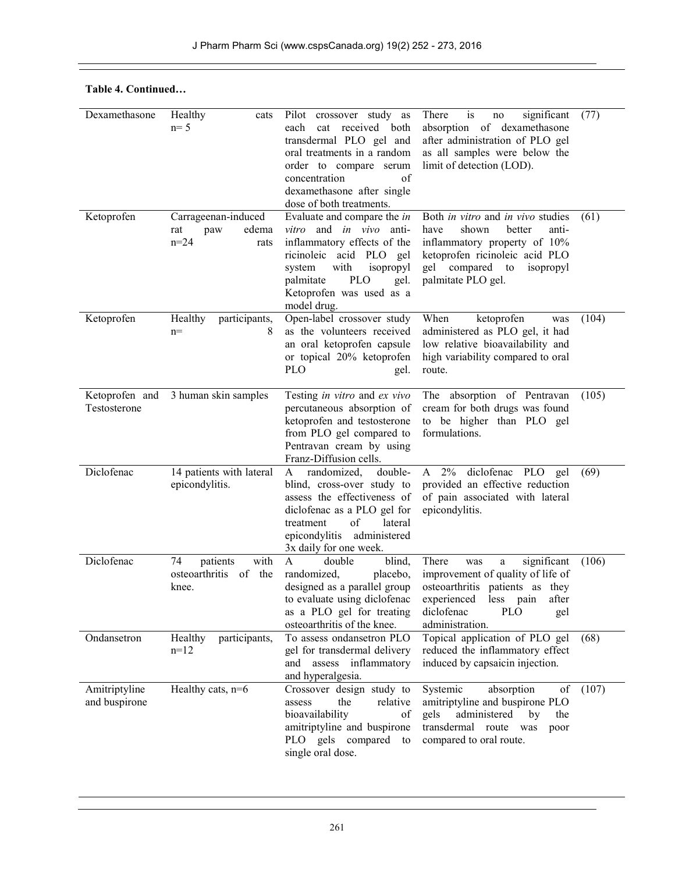| Dexamethasone<br>Ketoprofen    | Healthy<br>cats<br>$n=5$<br>Carrageenan-induced<br>rat<br>edema<br>paw | Pilot crossover study as<br>each<br>cat received both<br>transdermal PLO gel and<br>oral treatments in a random<br>order to compare serum<br>concentration<br>οf<br>dexamethasone after single<br>dose of both treatments.<br>Evaluate and compare the in<br>vitro and in vivo anti- | significant<br>There<br>1S<br>no<br>absorption of dexamethasone<br>after administration of PLO gel<br>as all samples were below the<br>limit of detection (LOD).<br>Both in vitro and in vivo studies<br>have<br>shown<br>better<br>anti- | (77)<br>(61) |
|--------------------------------|------------------------------------------------------------------------|--------------------------------------------------------------------------------------------------------------------------------------------------------------------------------------------------------------------------------------------------------------------------------------|-------------------------------------------------------------------------------------------------------------------------------------------------------------------------------------------------------------------------------------------|--------------|
|                                | $n=24$<br>rats                                                         | inflammatory effects of the<br>ricinoleic acid PLO gel<br>with<br>isopropyl<br>system<br><b>PLO</b><br>palmitate<br>gel.<br>Ketoprofen was used as a<br>model drug.                                                                                                                  | inflammatory property of 10%<br>ketoprofen ricinoleic acid PLO<br>gel compared to<br>isopropyl<br>palmitate PLO gel.                                                                                                                      |              |
| Ketoprofen                     | Healthy<br>participants,<br>8<br>$n=$                                  | Open-label crossover study<br>as the volunteers received<br>an oral ketoprofen capsule<br>or topical 20% ketoprofen<br><b>PLO</b><br>gel.                                                                                                                                            | When<br>ketoprofen<br>was<br>administered as PLO gel, it had<br>low relative bioavailability and<br>high variability compared to oral<br>route.                                                                                           | (104)        |
| Ketoprofen and<br>Testosterone | 3 human skin samples                                                   | Testing in vitro and ex vivo<br>percutaneous absorption of<br>ketoprofen and testosterone<br>from PLO gel compared to<br>Pentravan cream by using<br>Franz-Diffusion cells.                                                                                                          | The absorption of Pentravan<br>cream for both drugs was found<br>to be higher than PLO gel<br>formulations.                                                                                                                               | (105)        |
| Diclofenac                     | 14 patients with lateral<br>epicondylitis.                             | randomized,<br>double-<br>A<br>blind, cross-over study to<br>assess the effectiveness of<br>diclofenac as a PLO gel for<br>treatment<br>of<br>lateral<br>epicondylitis administered<br>3x daily for one week.                                                                        | A 2% diclofenac PLO<br>gel<br>provided an effective reduction<br>of pain associated with lateral<br>epicondylitis.                                                                                                                        | (69)         |
| Diclofenac                     | with<br>74<br>patients<br>osteoarthritis of the<br>knee.               | blind,<br>$\mathsf{A}$<br>double<br>randomized,<br>placebo,<br>designed as a parallel group<br>to evaluate using diclofenac<br>as a PLO gel for treating<br>osteoarthritis of the knee.                                                                                              | There<br>significant<br>was<br>a<br>improvement of quality of life of<br>osteoarthritis patients as they<br>experienced less pain after<br>diclofenac<br><b>PLO</b><br>gel<br>administration.                                             | (106)        |
| Ondansetron                    | Healthy<br>participants,<br>$n=12$                                     | To assess ondansetron PLO<br>gel for transdermal delivery<br>and assess inflammatory<br>and hyperalgesia.                                                                                                                                                                            | Topical application of PLO gel<br>reduced the inflammatory effect<br>induced by capsaicin injection.                                                                                                                                      | (68)         |
| Amitriptyline<br>and buspirone | Healthy cats, n=6                                                      | Crossover design study to<br>assess<br>the<br>relative<br>bioavailability<br>of<br>amitriptyline and buspirone<br>PLO gels compared to<br>single oral dose.                                                                                                                          | Systemic<br>absorption<br>οf<br>amitriptyline and buspirone PLO<br>administered<br>gels<br>by<br>the<br>transdermal route<br>was<br>poor<br>compared to oral route.                                                                       | (107)        |

#### Table 4. Continued…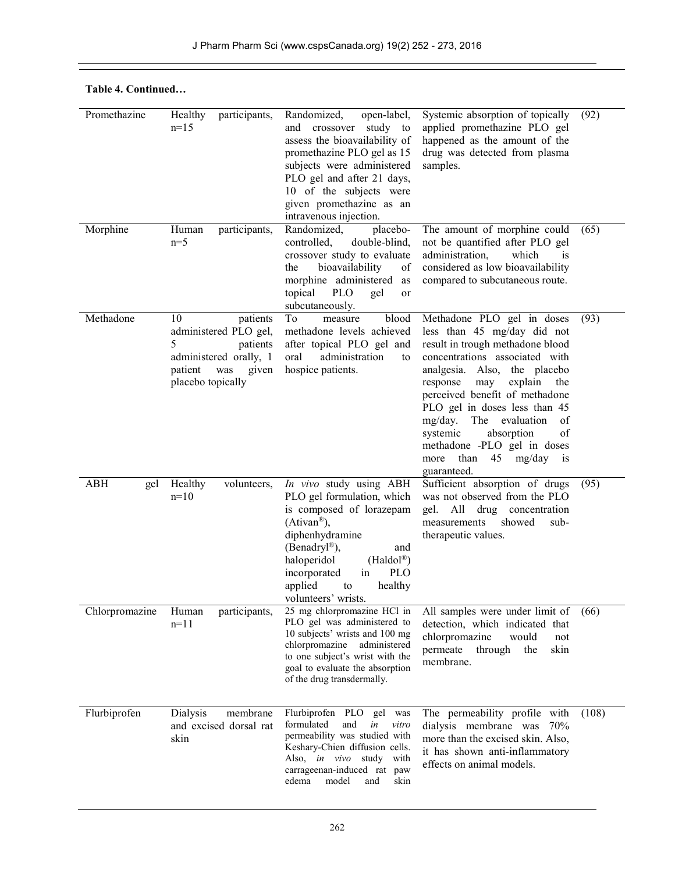| Promethazine   | Healthy<br>participants,<br>$n=15$                                                                                                 | Randomized,<br>open-label,<br>crossover study to<br>and<br>assess the bioavailability of<br>promethazine PLO gel as 15<br>subjects were administered<br>PLO gel and after 21 days,<br>10 of the subjects were<br>given promethazine as an<br>intravenous injection.                     | Systemic absorption of topically<br>applied promethazine PLO gel<br>happened as the amount of the<br>drug was detected from plasma<br>samples.                                                                                                                                                                                                                                                                                | (92)  |
|----------------|------------------------------------------------------------------------------------------------------------------------------------|-----------------------------------------------------------------------------------------------------------------------------------------------------------------------------------------------------------------------------------------------------------------------------------------|-------------------------------------------------------------------------------------------------------------------------------------------------------------------------------------------------------------------------------------------------------------------------------------------------------------------------------------------------------------------------------------------------------------------------------|-------|
| Morphine       | Human<br>participants,<br>$n=5$                                                                                                    | Randomized,<br>placebo-<br>controlled,<br>double-blind,<br>crossover study to evaluate<br>bioavailability<br>the<br>of<br>morphine administered<br>as<br>PLO<br>topical<br>gel<br>or<br>subcutaneously.                                                                                 | The amount of morphine could<br>not be quantified after PLO gel<br>which<br>administration,<br>is<br>considered as low bioavailability<br>compared to subcutaneous route.                                                                                                                                                                                                                                                     | (65)  |
| Methadone      | 10<br>patients<br>administered PLO gel,<br>5<br>patients<br>administered orally, 1<br>patient<br>was<br>given<br>placebo topically | To<br>blood<br>measure<br>methadone levels achieved<br>after topical PLO gel and<br>administration<br>oral<br>to<br>hospice patients.                                                                                                                                                   | Methadone PLO gel in doses<br>less than 45 mg/day did not<br>result in trough methadone blood<br>concentrations associated with<br>analgesia. Also, the placebo<br>may<br>explain<br>response<br>the<br>perceived benefit of methadone<br>PLO gel in doses less than 45<br>The evaluation<br>mg/day.<br>of<br>of<br>systemic<br>absorption<br>methadone -PLO gel in doses<br>than<br>45<br>$mg/day$ is<br>more<br>guaranteed. | (93)  |
| ABH<br>gel     | Healthy<br>volunteers,<br>$n=10$                                                                                                   | In vivo study using ABH<br>PLO gel formulation, which<br>is composed of lorazepam<br>$(Ativan^{\circledR})$ ,<br>diphenhydramine<br>(Benadryl®),<br>and<br>haloperidol<br>(Haldol <sup>®</sup> )<br>incorporated<br>in<br><b>PLO</b><br>applied<br>healthy<br>to<br>volunteers' wrists. | Sufficient absorption of drugs<br>was not observed from the PLO<br>All<br>gel.<br>drug concentration<br>showed<br>measurements<br>sub-<br>therapeutic values.                                                                                                                                                                                                                                                                 | (95)  |
| Chlorpromazine | Human<br>participants,<br>$n=11$                                                                                                   | 25 mg chlorpromazine HCl in<br>PLO gel was administered to<br>10 subjects' wrists and 100 mg<br>chlorpromazine administered<br>to one subject's wrist with the<br>goal to evaluate the absorption<br>of the drug transdermally.                                                         | All samples were under limit of<br>detection, which indicated that<br>chlorpromazine<br>would<br>not<br>through<br>permeate<br>the<br>skin<br>membrane.                                                                                                                                                                                                                                                                       | (66)  |
| Flurbiprofen   | Dialysis<br>membrane<br>and excised dorsal rat<br>skin                                                                             | Flurbiprofen PLO gel was<br>formulated<br>and<br>in<br>vitro<br>permeability was studied with<br>Keshary-Chien diffusion cells.<br>Also, in vivo study with<br>carrageenan-induced rat paw<br>edema<br>model<br>skin<br>and                                                             | The permeability profile with<br>dialysis membrane was 70%<br>more than the excised skin. Also,<br>it has shown anti-inflammatory<br>effects on animal models.                                                                                                                                                                                                                                                                | (108) |

#### Table 4. Continued…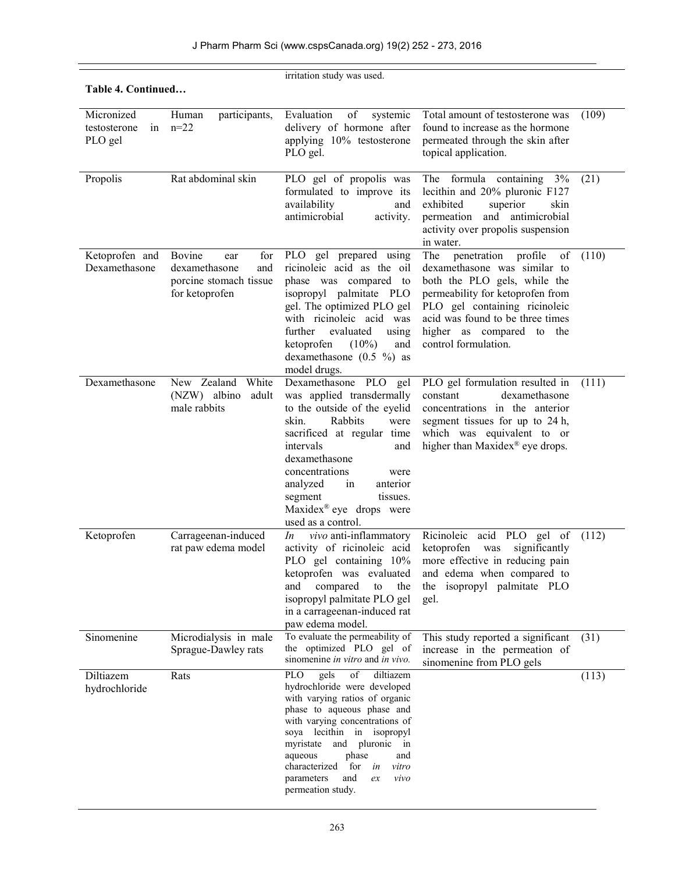|                                             |                                                                                          | irritation study was used.                                                                                                                                                                                                                                                                                                                               |                                                                                                                                                                                                                                                             |       |
|---------------------------------------------|------------------------------------------------------------------------------------------|----------------------------------------------------------------------------------------------------------------------------------------------------------------------------------------------------------------------------------------------------------------------------------------------------------------------------------------------------------|-------------------------------------------------------------------------------------------------------------------------------------------------------------------------------------------------------------------------------------------------------------|-------|
| Table 4. Continued                          |                                                                                          |                                                                                                                                                                                                                                                                                                                                                          |                                                                                                                                                                                                                                                             |       |
| Micronized<br>testosterone<br>in<br>PLO gel | participants,<br>Human<br>$n = 22$                                                       | Evaluation<br>of<br>systemic<br>delivery of hormone after<br>applying 10% testosterone<br>PLO gel.                                                                                                                                                                                                                                                       | Total amount of testosterone was<br>found to increase as the hormone<br>permeated through the skin after<br>topical application.                                                                                                                            | (109) |
| Propolis                                    | Rat abdominal skin                                                                       | PLO gel of propolis was<br>formulated to improve its<br>availability<br>and<br>antimicrobial<br>activity.                                                                                                                                                                                                                                                | The formula containing 3%<br>lecithin and 20% pluronic F127<br>exhibited<br>superior<br>skin<br>permeation and antimicrobial<br>activity over propolis suspension<br>in water.                                                                              | (21)  |
| Ketoprofen and<br>Dexamethasone             | Bovine<br>for<br>ear<br>dexamethasone<br>and<br>porcine stomach tissue<br>for ketoprofen | PLO gel prepared using<br>ricinoleic acid as the oil<br>phase was compared to<br>isopropyl palmitate PLO<br>gel. The optimized PLO gel<br>with ricinoleic acid was<br>further<br>evaluated<br>using<br>ketoprofen<br>$(10\%)$<br>and<br>dexamethasone $(0.5 \%)$ as<br>model drugs.                                                                      | The penetration profile<br>of<br>dexamethasone was similar to<br>both the PLO gels, while the<br>permeability for ketoprofen from<br>PLO gel containing ricinoleic<br>acid was found to be three times<br>higher as compared to the<br>control formulation. | (110) |
| Dexamethasone                               | New Zealand<br>White<br>(NZW) albino<br>adult<br>male rabbits                            | Dexamethasone PLO<br>gel<br>was applied transdermally<br>to the outside of the eyelid<br>skin.<br>Rabbits<br>were<br>sacrificed at regular time<br>intervals<br>and<br>dexamethasone<br>concentrations<br>were<br>analyzed<br>anterior<br>in<br>segment<br>tissues.<br>Maxidex <sup>®</sup> eye drops were<br>used as a control.                         | PLO gel formulation resulted in<br>dexamethasone<br>constant<br>concentrations in the anterior<br>segment tissues for up to 24 h,<br>which was equivalent to or<br>higher than Maxidex <sup>®</sup> eye drops.                                              | (111) |
| Ketoprofen                                  | Carrageenan-induced<br>rat paw edema model                                               | vivo anti-inflammatory<br>In<br>activity of ricinoleic acid<br>PLO gel containing 10%<br>ketoprofen was evaluated<br>compared<br>and<br>to<br>the<br>isopropyl palmitate PLO gel<br>in a carrageenan-induced rat<br>paw edema model.                                                                                                                     | Ricinoleic<br>acid PLO gel of<br>ketoprofen<br>was<br>significantly<br>more effective in reducing pain<br>and edema when compared to<br>the isopropyl palmitate PLO<br>gel.                                                                                 | (112) |
| Sinomenine                                  | Microdialysis in male<br>Sprague-Dawley rats                                             | To evaluate the permeability of<br>the optimized PLO gel of<br>sinomenine in vitro and in vivo.                                                                                                                                                                                                                                                          | This study reported a significant<br>increase in the permeation of<br>sinomenine from PLO gels                                                                                                                                                              | (31)  |
| Diltiazem<br>hydrochloride                  | Rats                                                                                     | PLO<br>of<br>diltiazem<br>gels<br>hydrochloride were developed<br>with varying ratios of organic<br>phase to aqueous phase and<br>with varying concentrations of<br>soya lecithin in isopropyl<br>and pluronic in<br>myristate<br>aqueous<br>phase<br>and<br>characterized<br>for<br>vitro<br>in<br>parameters<br>and<br>vivo<br>ex<br>permeation study. |                                                                                                                                                                                                                                                             | (113) |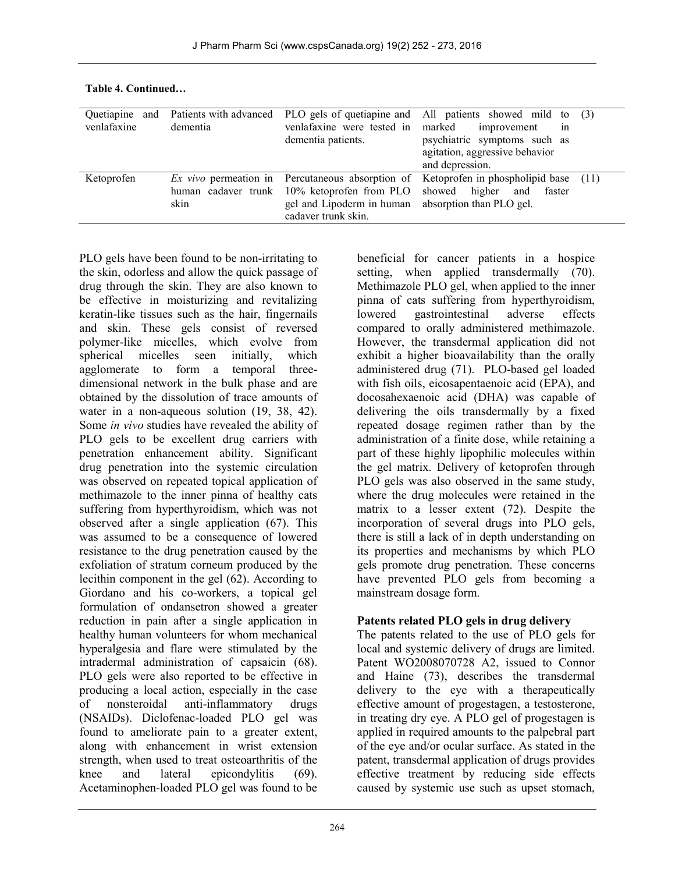| Ouetiapine<br>venlafaxine | and Patients with advanced<br>dementia | venlafaxine were tested in marked improvement<br>dementia patients.       | PLO gels of quetiapine and All patients showed mild to (3)<br>in<br>psychiatric symptoms such as<br>agitation, aggressive behavior<br>and depression.           |
|---------------------------|----------------------------------------|---------------------------------------------------------------------------|-----------------------------------------------------------------------------------------------------------------------------------------------------------------|
| Ketoprofen                | skin                                   | gel and Lipoderm in human absorption than PLO gel.<br>cadaver trunk skin. | Ex vivo permeation in Percutaneous absorption of Ketoprofen in phospholipid base $(11)$<br>human cadaver trunk 10% ketoprofen from PLO showed higher and faster |

#### Table 4. Continued…

PLO gels have been found to be non-irritating to the skin, odorless and allow the quick passage of drug through the skin. They are also known to be effective in moisturizing and revitalizing keratin-like tissues such as the hair, fingernails and skin. These gels consist of reversed polymer-like micelles, which evolve from spherical micelles seen initially, which agglomerate to form a temporal threedimensional network in the bulk phase and are obtained by the dissolution of trace amounts of water in a non-aqueous solution (19, 38, 42). Some in vivo studies have revealed the ability of PLO gels to be excellent drug carriers with penetration enhancement ability. Significant drug penetration into the systemic circulation was observed on repeated topical application of methimazole to the inner pinna of healthy cats suffering from hyperthyroidism, which was not observed after a single application (67). This was assumed to be a consequence of lowered resistance to the drug penetration caused by the exfoliation of stratum corneum produced by the lecithin component in the gel (62). According to Giordano and his co-workers, a topical gel formulation of ondansetron showed a greater reduction in pain after a single application in healthy human volunteers for whom mechanical hyperalgesia and flare were stimulated by the intradermal administration of capsaicin (68). PLO gels were also reported to be effective in producing a local action, especially in the case of nonsteroidal anti-inflammatory drugs (NSAIDs). Diclofenac-loaded PLO gel was found to ameliorate pain to a greater extent, along with enhancement in wrist extension strength, when used to treat osteoarthritis of the knee and lateral epicondylitis (69). Acetaminophen-loaded PLO gel was found to be

beneficial for cancer patients in a hospice setting, when applied transdermally (70). Methimazole PLO gel, when applied to the inner pinna of cats suffering from hyperthyroidism, lowered gastrointestinal adverse effects compared to orally administered methimazole. However, the transdermal application did not exhibit a higher bioavailability than the orally administered drug (71). PLO-based gel loaded with fish oils, eicosapentaenoic acid (EPA), and docosahexaenoic acid (DHA) was capable of delivering the oils transdermally by a fixed repeated dosage regimen rather than by the administration of a finite dose, while retaining a part of these highly lipophilic molecules within the gel matrix. Delivery of ketoprofen through PLO gels was also observed in the same study, where the drug molecules were retained in the matrix to a lesser extent (72). Despite the incorporation of several drugs into PLO gels, there is still a lack of in depth understanding on its properties and mechanisms by which PLO gels promote drug penetration. These concerns have prevented PLO gels from becoming a mainstream dosage form.

#### Patents related PLO gels in drug delivery

The patents related to the use of PLO gels for local and systemic delivery of drugs are limited. Patent WO2008070728 A2, issued to Connor and Haine (73), describes the transdermal delivery to the eye with a therapeutically effective amount of progestagen, a testosterone, in treating dry eye. A PLO gel of progestagen is applied in required amounts to the palpebral part of the eye and/or ocular surface. As stated in the patent, transdermal application of drugs provides effective treatment by reducing side effects caused by systemic use such as upset stomach,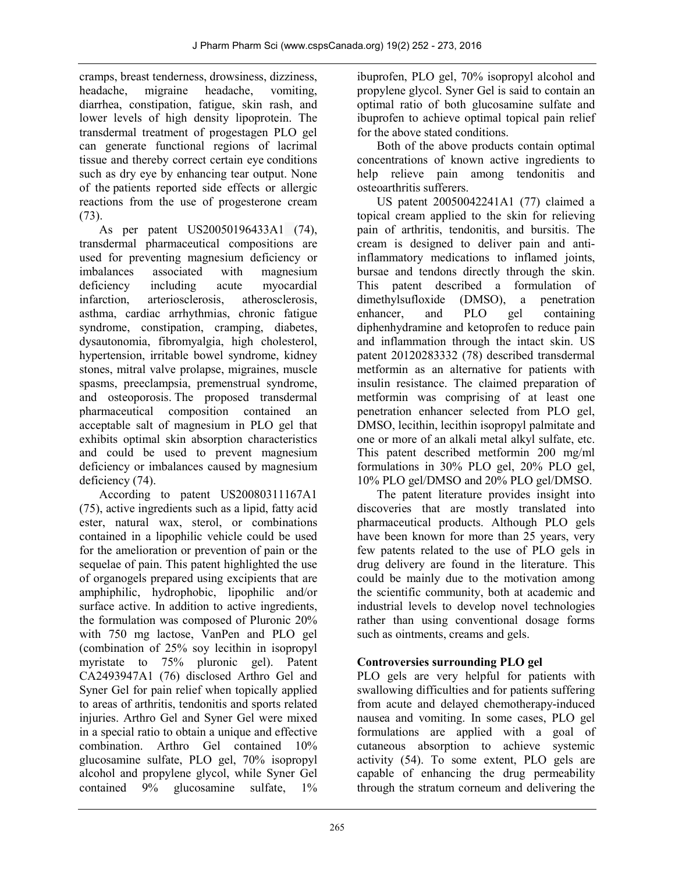cramps, breast tenderness, drowsiness, dizziness, headache, migraine headache, vomiting, diarrhea, constipation, fatigue, skin rash, and lower levels of high density lipoprotein. The transdermal treatment of progestagen PLO gel can generate functional regions of lacrimal tissue and thereby correct certain eye conditions such as dry eye by enhancing tear output. None of the patients reported side effects or allergic reactions from the use of progesterone cream (73).

As per patent US20050196433A1 (74), transdermal pharmaceutical compositions are used for preventing magnesium deficiency or imbalances associated with magnesium deficiency including acute myocardial infarction, arteriosclerosis, atherosclerosis, asthma, cardiac arrhythmias, chronic fatigue syndrome, constipation, cramping, diabetes, dysautonomia, fibromyalgia, high cholesterol, hypertension, irritable bowel syndrome, kidney stones, mitral valve prolapse, migraines, muscle spasms, preeclampsia, premenstrual syndrome, and osteoporosis. The proposed transdermal pharmaceutical composition contained an acceptable salt of magnesium in PLO gel that exhibits optimal skin absorption characteristics and could be used to prevent magnesium deficiency or imbalances caused by magnesium deficiency (74).

According to patent US20080311167A1 (75), active ingredients such as a lipid, fatty acid ester, natural wax, sterol, or combinations contained in a lipophilic vehicle could be used for the amelioration or prevention of pain or the sequelae of pain. This patent highlighted the use of organogels prepared using excipients that are amphiphilic, hydrophobic, lipophilic and/or surface active. In addition to active ingredients, the formulation was composed of Pluronic 20% with 750 mg lactose, VanPen and PLO gel (combination of 25% soy lecithin in isopropyl myristate to 75% pluronic gel). Patent CA2493947A1 (76) disclosed Arthro Gel and Syner Gel for pain relief when topically applied to areas of arthritis, tendonitis and sports related injuries. Arthro Gel and Syner Gel were mixed in a special ratio to obtain a unique and effective combination. Arthro Gel contained 10% glucosamine sulfate, PLO gel, 70% isopropyl alcohol and propylene glycol, while Syner Gel contained 9% glucosamine sulfate, 1%

ibuprofen, PLO gel, 70% isopropyl alcohol and propylene glycol. Syner Gel is said to contain an optimal ratio of both glucosamine sulfate and ibuprofen to achieve optimal topical pain relief for the above stated conditions.

Both of the above products contain optimal concentrations of known active ingredients to help relieve pain among tendonitis and osteoarthritis sufferers.

US patent 20050042241A1 (77) claimed a topical cream applied to the skin for relieving pain of arthritis, tendonitis, and bursitis. The cream is designed to deliver pain and antiinflammatory medications to inflamed joints, bursae and tendons directly through the skin. This patent described a formulation of dimethylsufloxide (DMSO), a penetration enhancer, and PLO gel containing diphenhydramine and ketoprofen to reduce pain and inflammation through the intact skin. US patent 20120283332 (78) described transdermal metformin as an alternative for patients with insulin resistance. The claimed preparation of metformin was comprising of at least one penetration enhancer selected from PLO gel, DMSO, lecithin, lecithin isopropyl palmitate and one or more of an alkali metal alkyl sulfate, etc. This patent described metformin 200 mg/ml formulations in 30% PLO gel, 20% PLO gel, 10% PLO gel/DMSO and 20% PLO gel/DMSO.

The patent literature provides insight into discoveries that are mostly translated into pharmaceutical products. Although PLO gels have been known for more than 25 years, very few patents related to the use of PLO gels in drug delivery are found in the literature. This could be mainly due to the motivation among the scientific community, both at academic and industrial levels to develop novel technologies rather than using conventional dosage forms such as ointments, creams and gels.

### Controversies surrounding PLO gel

PLO gels are very helpful for patients with swallowing difficulties and for patients suffering from acute and delayed chemotherapy-induced nausea and vomiting. In some cases, PLO gel formulations are applied with a goal of cutaneous absorption to achieve systemic activity (54). To some extent, PLO gels are capable of enhancing the drug permeability through the stratum corneum and delivering the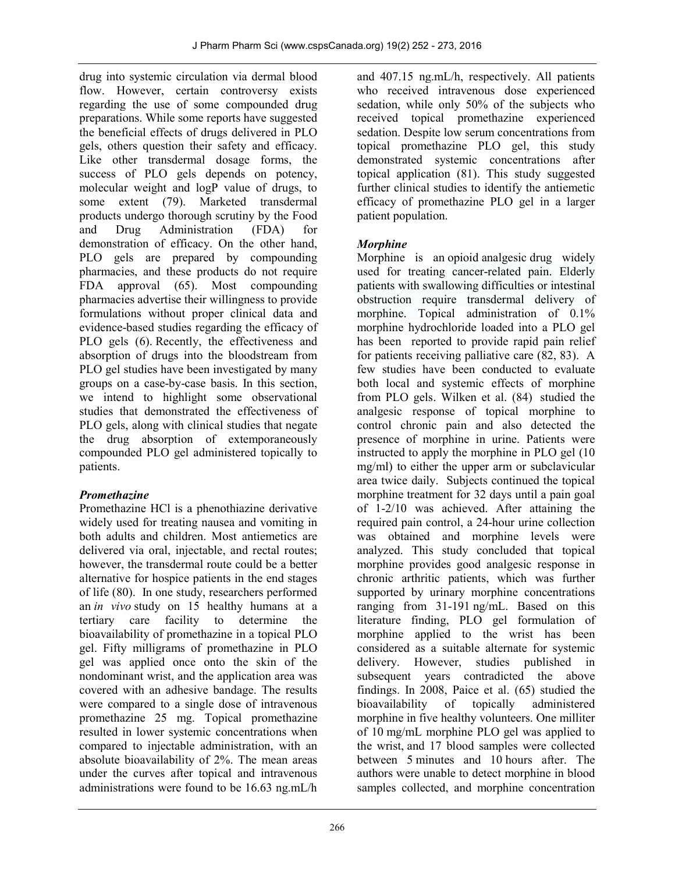drug into systemic circulation via dermal blood flow. However, certain controversy exists regarding the use of some compounded drug preparations. While some reports have suggested the beneficial effects of drugs delivered in PLO gels, others question their safety and efficacy. Like other transdermal dosage forms, the success of PLO gels depends on potency, molecular weight and logP value of drugs, to some extent (79). Marketed transdermal products undergo thorough scrutiny by the Food and Drug Administration (FDA) for demonstration of efficacy. On the other hand, PLO gels are prepared by compounding pharmacies, and these products do not require FDA approval (65). Most compounding pharmacies advertise their willingness to provide formulations without proper clinical data and evidence-based studies regarding the efficacy of PLO gels (6). Recently, the effectiveness and absorption of drugs into the bloodstream from PLO gel studies have been investigated by many groups on a case-by-case basis. In this section, we intend to highlight some observational studies that demonstrated the effectiveness of PLO gels, along with clinical studies that negate the drug absorption of extemporaneously compounded PLO gel administered topically to patients.

### Promethazine

Promethazine HCl is a phenothiazine derivative widely used for treating nausea and vomiting in both adults and children. Most antiemetics are delivered via oral, injectable, and rectal routes; however, the transdermal route could be a better alternative for hospice patients in the end stages of life (80). In one study, researchers performed an in vivo study on 15 healthy humans at a tertiary care facility to determine the bioavailability of promethazine in a topical PLO gel. Fifty milligrams of promethazine in PLO gel was applied once onto the skin of the nondominant wrist, and the application area was covered with an adhesive bandage. The results were compared to a single dose of intravenous promethazine 25 mg. Topical promethazine resulted in lower systemic concentrations when compared to injectable administration, with an absolute bioavailability of 2%. The mean areas under the curves after topical and intravenous administrations were found to be 16.63 ng.mL/h

and 407.15 ng.mL/h, respectively. All patients who received intravenous dose experienced sedation, while only 50% of the subjects who received topical promethazine experienced sedation. Despite low serum concentrations from topical promethazine PLO gel, this study demonstrated systemic concentrations after topical application (81). This study suggested further clinical studies to identify the antiemetic efficacy of promethazine PLO gel in a larger patient population.

## **Morphine**

Morphine is an opioid analgesic drug widely used for treating cancer-related pain. Elderly patients with swallowing difficulties or intestinal obstruction require transdermal delivery of morphine. Topical administration of 0.1% morphine hydrochloride loaded into a PLO gel has been reported to provide rapid pain relief for patients receiving palliative care (82, 83). A few studies have been conducted to evaluate both local and systemic effects of morphine from PLO gels. Wilken et al. (84) studied the analgesic response of topical morphine to control chronic pain and also detected the presence of morphine in urine. Patients were instructed to apply the morphine in PLO gel (10 mg/ml) to either the upper arm or subclavicular area twice daily. Subjects continued the topical morphine treatment for 32 days until a pain goal of 1-2/10 was achieved. After attaining the required pain control, a 24-hour urine collection was obtained and morphine levels were analyzed. This study concluded that topical morphine provides good analgesic response in chronic arthritic patients, which was further supported by urinary morphine concentrations ranging from 31-191 ng/mL. Based on this literature finding, PLO gel formulation of morphine applied to the wrist has been considered as a suitable alternate for systemic delivery. However, studies published in subsequent years contradicted the above findings. In 2008, Paice et al. (65) studied the bioavailability of topically administered morphine in five healthy volunteers. One milliter of 10 mg/mL morphine PLO gel was applied to the wrist, and 17 blood samples were collected between 5 minutes and 10 hours after. The authors were unable to detect morphine in blood samples collected, and morphine concentration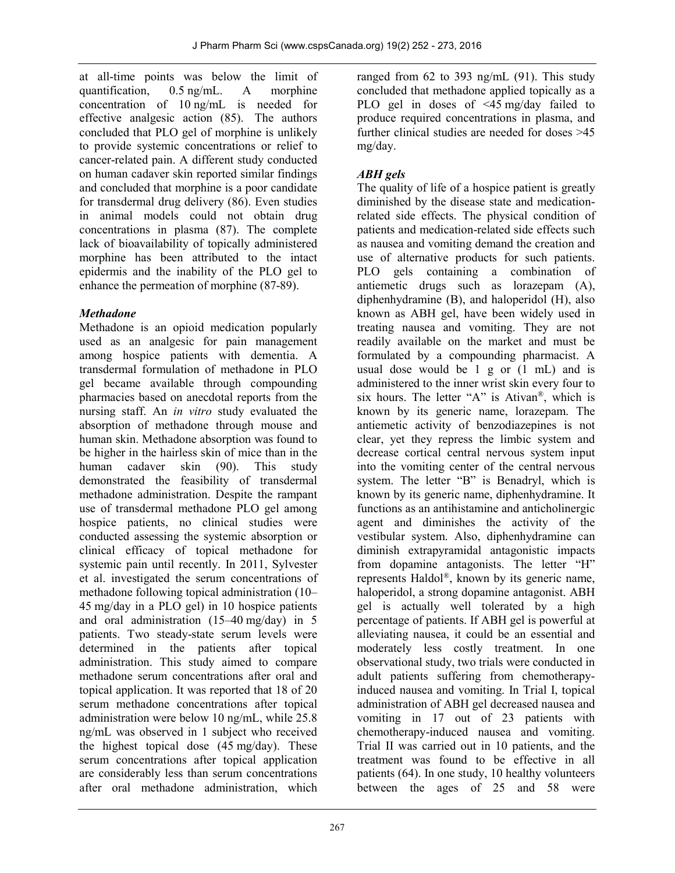at all-time points was below the limit of quantification, 0.5 ng/mL. A morphine concentration of 10 ng/mL is needed for effective analgesic action (85). The authors concluded that PLO gel of morphine is unlikely to provide systemic concentrations or relief to cancer-related pain. A different study conducted on human cadaver skin reported similar findings and concluded that morphine is a poor candidate for transdermal drug delivery (86). Even studies in animal models could not obtain drug concentrations in plasma (87). The complete lack of bioavailability of topically administered morphine has been attributed to the intact epidermis and the inability of the PLO gel to enhance the permeation of morphine (87-89).

### Methadone

Methadone is an opioid medication popularly used as an analgesic for pain management among hospice patients with dementia. A transdermal formulation of methadone in PLO gel became available through compounding pharmacies based on anecdotal reports from the nursing staff. An in vitro study evaluated the absorption of methadone through mouse and human skin. Methadone absorption was found to be higher in the hairless skin of mice than in the human cadaver skin (90). This study demonstrated the feasibility of transdermal methadone administration. Despite the rampant use of transdermal methadone PLO gel among hospice patients, no clinical studies were conducted assessing the systemic absorption or clinical efficacy of topical methadone for systemic pain until recently. In 2011, Sylvester et al. investigated the serum concentrations of methadone following topical administration (10– 45 mg/day in a PLO gel) in 10 hospice patients and oral administration (15–40 mg/day) in 5 patients. Two steady-state serum levels were determined in the patients after topical administration. This study aimed to compare methadone serum concentrations after oral and topical application. It was reported that 18 of 20 serum methadone concentrations after topical administration were below 10 ng/mL, while 25.8 ng/mL was observed in 1 subject who received the highest topical dose (45 mg/day). These serum concentrations after topical application are considerably less than serum concentrations after oral methadone administration, which

ranged from 62 to 393 ng/mL (91). This study concluded that methadone applied topically as a PLO gel in doses of <45 mg/day failed to produce required concentrations in plasma, and further clinical studies are needed for doses >45 mg/day.

## ABH gels

The quality of life of a hospice patient is greatly diminished by the disease state and medicationrelated side effects. The physical condition of patients and medication-related side effects such as nausea and vomiting demand the creation and use of alternative products for such patients. PLO gels containing a combination of antiemetic drugs such as lorazepam (A), diphenhydramine (B), and haloperidol (H), also known as ABH gel, have been widely used in treating nausea and vomiting. They are not readily available on the market and must be formulated by a compounding pharmacist. A usual dose would be  $1 \text{ g}$  or  $(1 \text{ mL})$  and is administered to the inner wrist skin every four to six hours. The letter "A" is Ativan® , which is known by its generic name, lorazepam. The antiemetic activity of benzodiazepines is not clear, yet they repress the limbic system and decrease cortical central nervous system input into the vomiting center of the central nervous system. The letter "B" is Benadryl, which is known by its generic name, diphenhydramine. It functions as an antihistamine and anticholinergic agent and diminishes the activity of the vestibular system. Also, diphenhydramine can diminish extrapyramidal antagonistic impacts from dopamine antagonists. The letter "H" represents Haldol® , known by its generic name, haloperidol, a strong dopamine antagonist. ABH gel is actually well tolerated by a high percentage of patients. If ABH gel is powerful at alleviating nausea, it could be an essential and moderately less costly treatment. In one observational study, two trials were conducted in adult patients suffering from chemotherapyinduced nausea and vomiting. In Trial I, topical administration of ABH gel decreased nausea and vomiting in 17 out of 23 patients with chemotherapy-induced nausea and vomiting. Trial II was carried out in 10 patients, and the treatment was found to be effective in all patients (64). In one study, 10 healthy volunteers between the ages of 25 and 58 were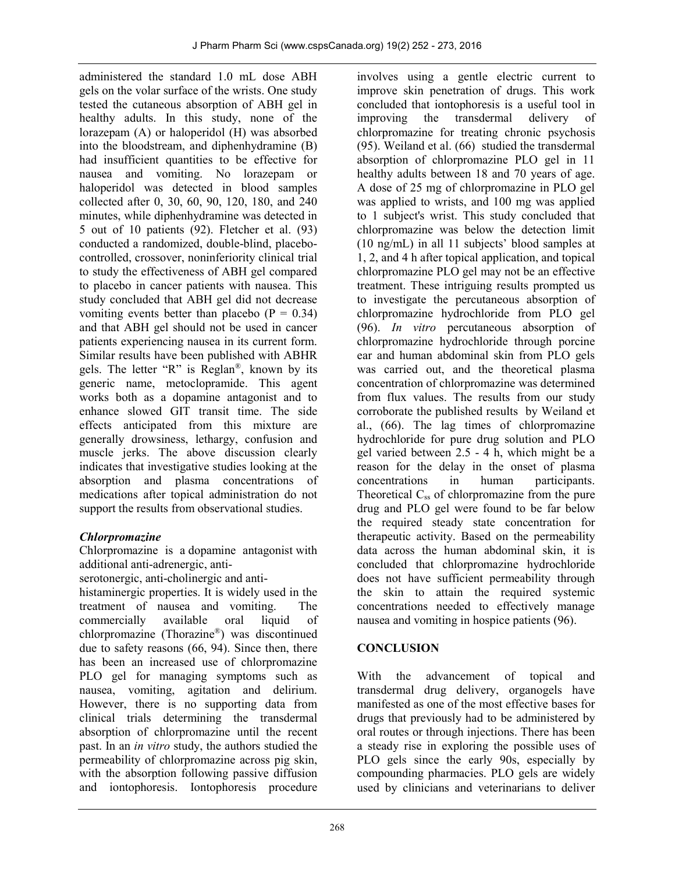administered the standard 1.0 mL dose ABH gels on the volar surface of the wrists. One study tested the cutaneous absorption of ABH gel in healthy adults. In this study, none of the lorazepam (A) or haloperidol (H) was absorbed into the bloodstream, and diphenhydramine (B) had insufficient quantities to be effective for nausea and vomiting. No lorazepam or haloperidol was detected in blood samples collected after 0, 30, 60, 90, 120, 180, and 240 minutes, while diphenhydramine was detected in 5 out of 10 patients (92). Fletcher et al. (93) conducted a randomized, double-blind, placebocontrolled, crossover, noninferiority clinical trial to study the effectiveness of ABH gel compared to placebo in cancer patients with nausea. This study concluded that ABH gel did not decrease vomiting events better than placebo  $(P = 0.34)$ and that ABH gel should not be used in cancer patients experiencing nausea in its current form. Similar results have been published with ABHR gels. The letter "R" is Reglan® , known by its generic name, metoclopramide. This agent works both as a dopamine antagonist and to enhance slowed GIT transit time. The side effects anticipated from this mixture are generally drowsiness, lethargy, confusion and muscle jerks. The above discussion clearly indicates that investigative studies looking at the absorption and plasma concentrations of medications after topical administration do not support the results from observational studies.

## Chlorpromazine

Chlorpromazine is a dopamine antagonist with additional anti-adrenergic, anti-

serotonergic, anti-cholinergic and anti-

histaminergic properties. It is widely used in the treatment of nausea and vomiting. The commercially available oral liquid of chlorpromazine (Thorazine® ) was discontinued due to safety reasons (66, 94). Since then, there has been an increased use of chlorpromazine PLO gel for managing symptoms such as nausea, vomiting, agitation and delirium. However, there is no supporting data from clinical trials determining the transdermal absorption of chlorpromazine until the recent past. In an in vitro study, the authors studied the permeability of chlorpromazine across pig skin, with the absorption following passive diffusion and iontophoresis. Iontophoresis procedure

involves using a gentle electric current to improve skin penetration of drugs. This work concluded that iontophoresis is a useful tool in improving the transdermal delivery of chlorpromazine for treating chronic psychosis (95). Weiland et al. (66) studied the transdermal absorption of chlorpromazine PLO gel in 11 healthy adults between 18 and 70 years of age. A dose of 25 mg of chlorpromazine in PLO gel was applied to wrists, and 100 mg was applied to 1 subject's wrist. This study concluded that chlorpromazine was below the detection limit (10 ng/mL) in all 11 subjects' blood samples at 1, 2, and 4 h after topical application, and topical chlorpromazine PLO gel may not be an effective treatment. These intriguing results prompted us to investigate the percutaneous absorption of chlorpromazine hydrochloride from PLO gel (96). In vitro percutaneous absorption of chlorpromazine hydrochloride through porcine ear and human abdominal skin from PLO gels was carried out, and the theoretical plasma concentration of chlorpromazine was determined from flux values. The results from our study corroborate the published results by Weiland et al., (66). The lag times of chlorpromazine hydrochloride for pure drug solution and PLO gel varied between 2.5 - 4 h, which might be a reason for the delay in the onset of plasma concentrations in human participants. Theoretical  $C_{ss}$  of chlorpromazine from the pure drug and PLO gel were found to be far below the required steady state concentration for therapeutic activity. Based on the permeability data across the human abdominal skin, it is concluded that chlorpromazine hydrochloride does not have sufficient permeability through the skin to attain the required systemic concentrations needed to effectively manage nausea and vomiting in hospice patients (96).

## **CONCLUSION**

With the advancement of topical and transdermal drug delivery, organogels have manifested as one of the most effective bases for drugs that previously had to be administered by oral routes or through injections. There has been a steady rise in exploring the possible uses of PLO gels since the early 90s, especially by compounding pharmacies. PLO gels are widely used by clinicians and veterinarians to deliver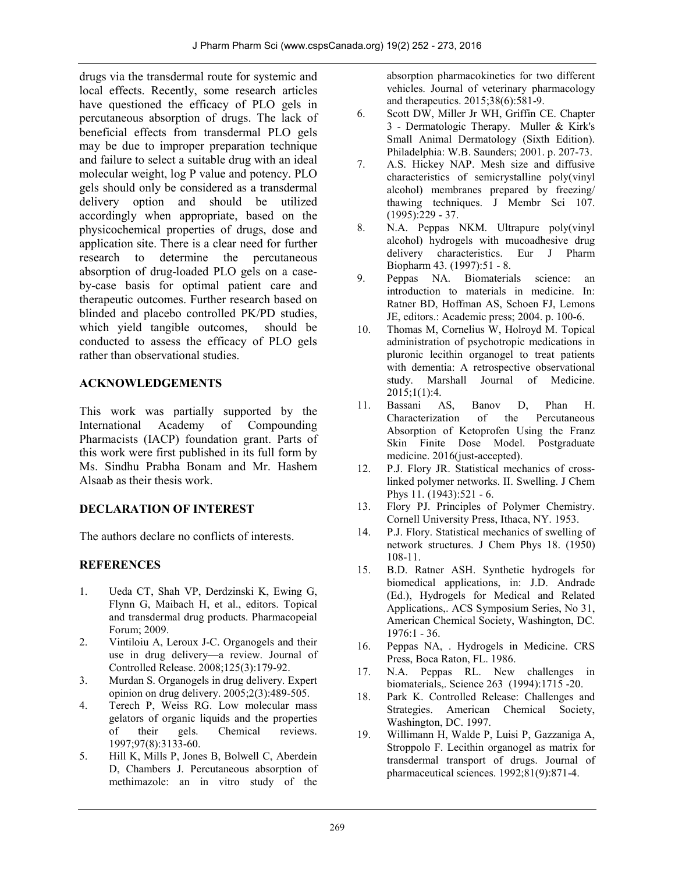drugs via the transdermal route for systemic and local effects. Recently, some research articles have questioned the efficacy of PLO gels in percutaneous absorption of drugs. The lack of beneficial effects from transdermal PLO gels may be due to improper preparation technique and failure to select a suitable drug with an ideal molecular weight, log P value and potency. PLO gels should only be considered as a transdermal delivery option and should be utilized accordingly when appropriate, based on the physicochemical properties of drugs, dose and application site. There is a clear need for further research to determine the percutaneous absorption of drug-loaded PLO gels on a caseby-case basis for optimal patient care and therapeutic outcomes. Further research based on blinded and placebo controlled PK/PD studies, which yield tangible outcomes, should be conducted to assess the efficacy of PLO gels rather than observational studies.

### ACKNOWLEDGEMENTS

This work was partially supported by the International Academy of Compounding Pharmacists (IACP) foundation grant. Parts of this work were first published in its full form by Ms. Sindhu Prabha Bonam and Mr. Hashem Alsaab as their thesis work.

## DECLARATION OF INTEREST

The authors declare no conflicts of interests.

## **REFERENCES**

- 1. Ueda CT, Shah VP, Derdzinski K, Ewing G, Flynn G, Maibach H, et al., editors. Topical and transdermal drug products. Pharmacopeial Forum; 2009.
- 2. Vintiloiu A, Leroux J-C. Organogels and their use in drug delivery—a review. Journal of Controlled Release. 2008;125(3):179-92.
- 3. Murdan S. Organogels in drug delivery. Expert opinion on drug delivery. 2005;2(3):489-505.
- 4. Terech P, Weiss RG. Low molecular mass gelators of organic liquids and the properties of their gels. Chemical reviews. 1997;97(8):3133-60.
- 5. Hill K, Mills P, Jones B, Bolwell C, Aberdein D, Chambers J. Percutaneous absorption of methimazole: an in vitro study of the

absorption pharmacokinetics for two different vehicles. Journal of veterinary pharmacology and therapeutics. 2015;38(6):581-9.

- 6. Scott DW, Miller Jr WH, Griffin CE. Chapter 3 - Dermatologic Therapy. Muller & Kirk's Small Animal Dermatology (Sixth Edition). Philadelphia: W.B. Saunders; 2001. p. 207-73.
- 7. A.S. Hickey NAP. Mesh size and diffusive characteristics of semicrystalline poly(vinyl alcohol) membranes prepared by freezing/ thawing techniques. J Membr Sci 107. (1995):229 - 37.
- 8. N.A. Peppas NKM. Ultrapure poly(vinyl alcohol) hydrogels with mucoadhesive drug delivery characteristics. Eur J Pharm Biopharm 43. (1997):51 - 8.
- 9. Peppas NA. Biomaterials science: an introduction to materials in medicine. In: Ratner BD, Hoffman AS, Schoen FJ, Lemons JE, editors.: Academic press; 2004. p. 100-6.
- 10. Thomas M, Cornelius W, Holroyd M. Topical administration of psychotropic medications in pluronic lecithin organogel to treat patients with dementia: A retrospective observational study. Marshall Journal of Medicine. 2015;1(1):4.
- 11. Bassani AS, Banov D, Phan H. Characterization of the Percutaneous Absorption of Ketoprofen Using the Franz Skin Finite Dose Model. Postgraduate medicine. 2016(just-accepted).
- 12. P.J. Flory JR. Statistical mechanics of crosslinked polymer networks. II. Swelling. J Chem Phys 11. (1943):521 - 6.
- 13. Flory PJ. Principles of Polymer Chemistry. Cornell University Press, Ithaca, NY. 1953.
- 14. P.J. Flory. Statistical mechanics of swelling of network structures. J Chem Phys 18. (1950) 108-11.
- 15. B.D. Ratner ASH. Synthetic hydrogels for biomedical applications, in: J.D. Andrade (Ed.), Hydrogels for Medical and Related Applications,. ACS Symposium Series, No 31, American Chemical Society, Washington, DC. 1976:1 - 36.
- 16. Peppas NA, . Hydrogels in Medicine. CRS Press, Boca Raton, FL. 1986.
- 17. N.A. Peppas RL. New challenges in biomaterials,. Science 263 (1994):1715 -20.
- 18. Park K. Controlled Release: Challenges and Strategies. American Chemical Society, Washington, DC. 1997.
- 19. Willimann H, Walde P, Luisi P, Gazzaniga A, Stroppolo F. Lecithin organogel as matrix for transdermal transport of drugs. Journal of pharmaceutical sciences. 1992;81(9):871-4.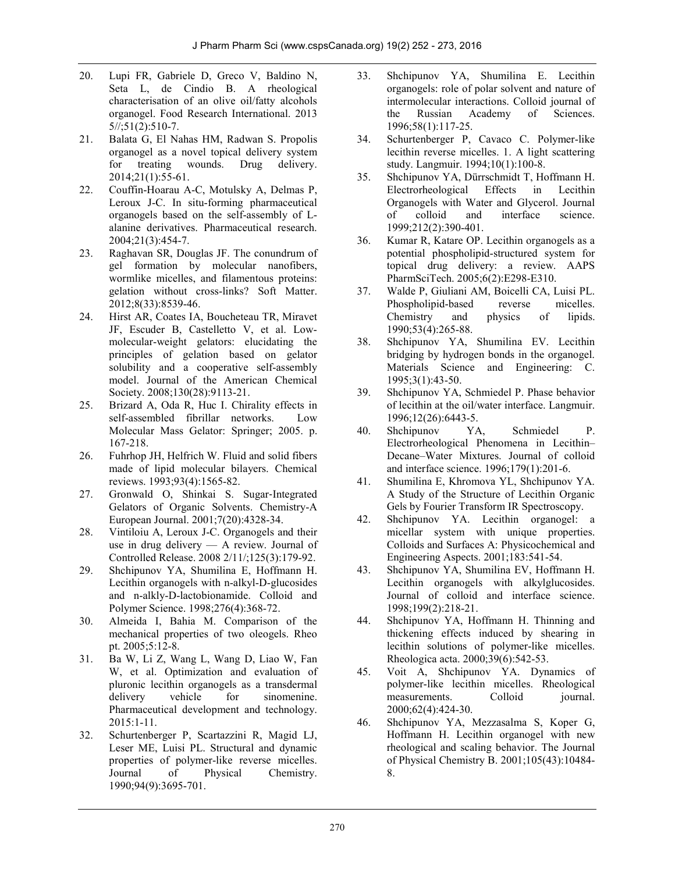- 20. Lupi FR, Gabriele D, Greco V, Baldino N, Seta L, de Cindio B. A rheological characterisation of an olive oil/fatty alcohols organogel. Food Research International. 2013  $5\frac{\frac{5}{\frac{51}{2}}}{2}$ :510-7.
- 21. Balata G, El Nahas HM, Radwan S. Propolis organogel as a novel topical delivery system<br>for treating wounds. Drug delivery. wounds. Drug 2014;21(1):55-61.
- 22. Couffin-Hoarau A-C, Motulsky A, Delmas P, Leroux J-C. In situ-forming pharmaceutical organogels based on the self-assembly of Lalanine derivatives. Pharmaceutical research. 2004;21(3):454-7.
- 23. Raghavan SR, Douglas JF. The conundrum of gel formation by molecular nanofibers, wormlike micelles, and filamentous proteins: gelation without cross-links? Soft Matter. 2012;8(33):8539-46.
- 24. Hirst AR, Coates IA, Boucheteau TR, Miravet JF, Escuder B, Castelletto V, et al. Lowmolecular-weight gelators: elucidating the principles of gelation based on gelator solubility and a cooperative self-assembly model. Journal of the American Chemical Society. 2008;130(28):9113-21.
- 25. Brizard A, Oda R, Huc I. Chirality effects in self-assembled fibrillar networks. Low Molecular Mass Gelator: Springer; 2005. p. 167-218.
- 26. Fuhrhop JH, Helfrich W. Fluid and solid fibers made of lipid molecular bilayers. Chemical reviews. 1993;93(4):1565-82.
- 27. Gronwald O, Shinkai S. Sugar‐Integrated Gelators of Organic Solvents. Chemistry-A European Journal. 2001;7(20):4328-34.
- 28. Vintiloiu A, Leroux J-C. Organogels and their use in drug delivery — A review. Journal of Controlled Release. 2008 2/11/;125(3):179-92.
- 29. Shchipunov YA, Shumilina E, Hoffmann H. Lecithin organogels with n-alkyl-D-glucosides and n-alkly-D-lactobionamide. Colloid and Polymer Science. 1998;276(4):368-72.
- 30. Almeida I, Bahia M. Comparison of the mechanical properties of two oleogels. Rheo pt. 2005;5:12-8.
- 31. Ba W, Li Z, Wang L, Wang D, Liao W, Fan W, et al. Optimization and evaluation of pluronic lecithin organogels as a transdermal delivery vehicle for sinomenine. Pharmaceutical development and technology. 2015:1-11.
- 32. Schurtenberger P, Scartazzini R, Magid LJ, Leser ME, Luisi PL. Structural and dynamic properties of polymer-like reverse micelles. Journal of Physical Chemistry. 1990;94(9):3695-701.
- 33. Shchipunov YA, Shumilina E. Lecithin organogels: role of polar solvent and nature of intermolecular interactions. Colloid journal of the Russian Academy of Sciences. 1996;58(1):117-25.
- 34. Schurtenberger P, Cavaco C. Polymer-like lecithin reverse micelles. 1. A light scattering study. Langmuir. 1994;10(1):100-8.
- 35. Shchipunov YA, Dürrschmidt T, Hoffmann H. Electrorheological Effects in Lecithin Organogels with Water and Glycerol. Journal of colloid and interface science. 1999;212(2):390-401.
- 36. Kumar R, Katare OP. Lecithin organogels as a potential phospholipid-structured system for topical drug delivery: a review. AAPS PharmSciTech. 2005;6(2):E298-E310.
- 37. Walde P, Giuliani AM, Boicelli CA, Luisi PL. Phospholipid-based reverse micelles.<br>
Chemistry and physics of lipids. Chemistry and physics of 1990;53(4):265-88.
- 38. Shchipunov YA, Shumilina EV. Lecithin bridging by hydrogen bonds in the organogel. Materials Science and Engineering: C. 1995;3(1):43-50.
- 39. Shchipunov YA, Schmiedel P. Phase behavior of lecithin at the oil/water interface. Langmuir. 1996;12(26):6443-5.
- 40. Shchipunov YA, Schmiedel P. Electrorheological Phenomena in Lecithin– Decane–Water Mixtures. Journal of colloid and interface science. 1996;179(1):201-6.
- 41. Shumilina E, Khromova YL, Shchipunov YA. A Study of the Structure of Lecithin Organic Gels by Fourier Transform IR Spectroscopy.
- 42. Shchipunov YA. Lecithin organogel: a micellar system with unique properties. Colloids and Surfaces A: Physicochemical and Engineering Aspects. 2001;183:541-54.
- 43. Shchipunov YA, Shumilina EV, Hoffmann H. Lecithin organogels with alkylglucosides. Journal of colloid and interface science. 1998;199(2):218-21.
- 44. Shchipunov YA, Hoffmann H. Thinning and thickening effects induced by shearing in lecithin solutions of polymer-like micelles. Rheologica acta. 2000;39(6):542-53.
- 45. Voit A, Shchipunov YA. Dynamics of polymer-like lecithin micelles. Rheological measurements. 2000;62(4):424-30.
- 46. Shchipunov YA, Mezzasalma S, Koper G, Hoffmann H. Lecithin organogel with new rheological and scaling behavior. The Journal of Physical Chemistry B. 2001;105(43):10484- 8.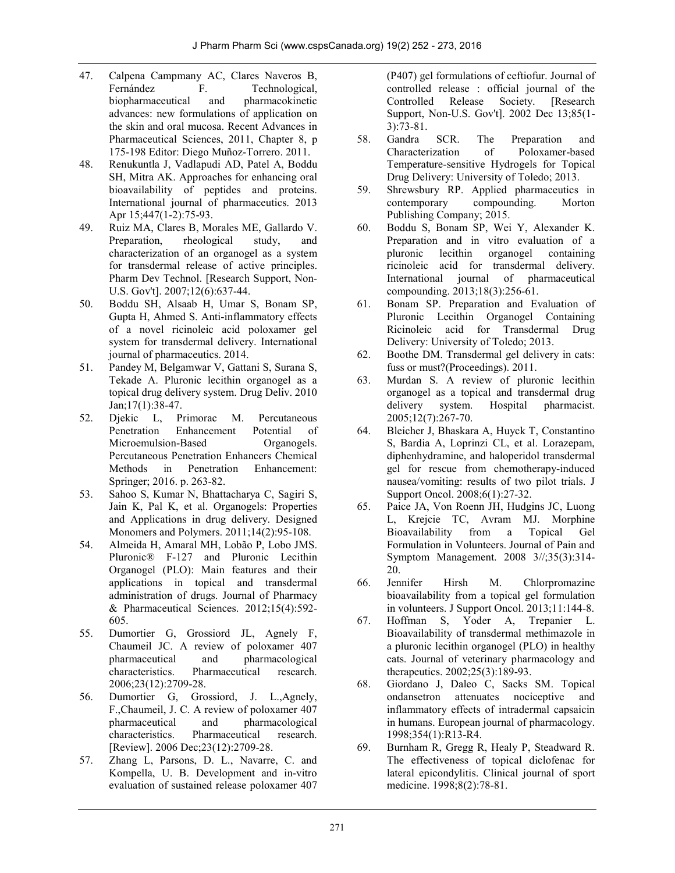- 47. Calpena Campmany AC, Clares Naveros B, Fernández F. Technological, biopharmaceutical and pharmacokinetic advances: new formulations of application on the skin and oral mucosa. Recent Advances in Pharmaceutical Sciences, 2011, Chapter 8, p 175-198 Editor: Diego Muñoz-Torrero. 2011.
- 48. Renukuntla J, Vadlapudi AD, Patel A, Boddu SH, Mitra AK. Approaches for enhancing oral bioavailability of peptides and proteins. International journal of pharmaceutics. 2013 Apr 15;447(1-2):75-93.
- 49. Ruiz MA, Clares B, Morales ME, Gallardo V. Preparation, rheological study, and characterization of an organogel as a system for transdermal release of active principles. Pharm Dev Technol. [Research Support, Non-U.S. Gov't]. 2007;12(6):637-44.
- 50. Boddu SH, Alsaab H, Umar S, Bonam SP, Gupta H, Ahmed S. Anti-inflammatory effects of a novel ricinoleic acid poloxamer gel system for transdermal delivery. International journal of pharmaceutics. 2014.
- 51. Pandey M, Belgamwar V, Gattani S, Surana S, Tekade A. Pluronic lecithin organogel as a topical drug delivery system. Drug Deliv. 2010 Jan;17(1):38-47.<br>Djekic L, P1
- 52. Djekic L, Primorac M. Percutaneous Penetration Enhancement Potential of Microemulsion-Based Organogels. Percutaneous Penetration Enhancers Chemical Methods in Penetration Enhancement: Springer; 2016. p. 263-82.
- 53. Sahoo S, Kumar N, Bhattacharya C, Sagiri S, Jain K, Pal K, et al. Organogels: Properties and Applications in drug delivery. Designed Monomers and Polymers. 2011;14(2):95-108.
- 54. Almeida H, Amaral MH, Lobão P, Lobo JMS. Pluronic® F-127 and Pluronic Lecithin Organogel (PLO): Main features and their applications in topical and transdermal administration of drugs. Journal of Pharmacy & Pharmaceutical Sciences. 2012;15(4):592- 605.
- 55. Dumortier G, Grossiord JL, Agnely F, Chaumeil JC. A review of poloxamer 407 pharmaceutical and pharmacological characteristics. Pharmaceutical research. 2006;23(12):2709-28.
- 56. Dumortier G, Grossiord, J. L.,Agnely, F.,Chaumeil, J. C. A review of poloxamer 407 pharmaceutical and pharmacological characteristics. Pharmaceutical research. [Review]. 2006 Dec; 23(12): 2709-28.
- 57. Zhang L, Parsons, D. L., Navarre, C. and Kompella, U. B. Development and in-vitro evaluation of sustained release poloxamer 407

(P407) gel formulations of ceftiofur. Journal of controlled release : official journal of the Controlled Release Society. [Research Support, Non-U.S. Gov't]. 2002 Dec 13;85(1- 3):73-81.

- 58. Gandra SCR. The Preparation and Characterization of Poloxamer-based Temperature-sensitive Hydrogels for Topical Drug Delivery: University of Toledo; 2013.
- 59. Shrewsbury RP. Applied pharmaceutics in contemporary compounding. Morton Publishing Company; 2015.
- 60. Boddu S, Bonam SP, Wei Y, Alexander K. Preparation and in vitro evaluation of a pluronic lecithin organogel containing ricinoleic acid for transdermal delivery. International journal of pharmaceutical compounding. 2013;18(3):256-61.
- 61. Bonam SP. Preparation and Evaluation of Pluronic Lecithin Organogel Containing Ricinoleic acid for Transdermal Drug Delivery: University of Toledo; 2013.
- 62. Boothe DM. Transdermal gel delivery in cats: fuss or must?(Proceedings). 2011.
- 63. Murdan S. A review of pluronic lecithin organogel as a topical and transdermal drug delivery system. Hospital pharmacist. 2005;12(7):267-70.
- 64. Bleicher J, Bhaskara A, Huyck T, Constantino S, Bardia A, Loprinzi CL, et al. Lorazepam, diphenhydramine, and haloperidol transdermal gel for rescue from chemotherapy-induced nausea/vomiting: results of two pilot trials. J Support Oncol. 2008;6(1):27-32.
- 65. Paice JA, Von Roenn JH, Hudgins JC, Luong L, Krejcie TC, Avram MJ. Morphine Bioavailability from a Topical Gel Formulation in Volunteers. Journal of Pain and Symptom Management. 2008 3//;35(3):314- 20.
- 66. Jennifer Hirsh M. Chlorpromazine bioavailability from a topical gel formulation in volunteers. J Support Oncol. 2013;11:144-8.
- 67. Hoffman S, Yoder A, Trepanier L. Bioavailability of transdermal methimazole in a pluronic lecithin organogel (PLO) in healthy cats. Journal of veterinary pharmacology and therapeutics. 2002;25(3):189-93.
- 68. Giordano J, Daleo C, Sacks SM. Topical ondansetron attenuates nociceptive and inflammatory effects of intradermal capsaicin in humans. European journal of pharmacology. 1998;354(1):R13-R4.
- 69. Burnham R, Gregg R, Healy P, Steadward R. The effectiveness of topical diclofenac for lateral epicondylitis. Clinical journal of sport medicine. 1998;8(2):78-81.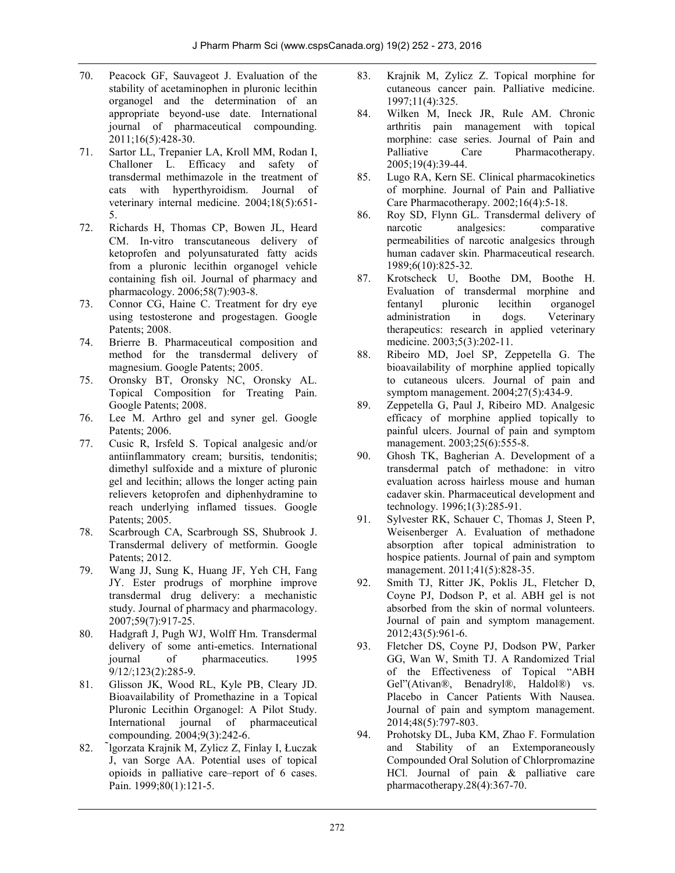- 70. Peacock GF, Sauvageot J. Evaluation of the stability of acetaminophen in pluronic lecithin organogel and the determination of an appropriate beyond-use date. International journal of pharmaceutical compounding. 2011;16(5):428-30.
- 71. Sartor LL, Trepanier LA, Kroll MM, Rodan I, Challoner L. Efficacy and safety of transdermal methimazole in the treatment of cats with hyperthyroidism. Journal of veterinary internal medicine. 2004;18(5):651- 5.
- 72. Richards H, Thomas CP, Bowen JL, Heard CM. In‐vitro transcutaneous delivery of ketoprofen and polyunsaturated fatty acids from a pluronic lecithin organogel vehicle containing fish oil. Journal of pharmacy and pharmacology. 2006;58(7):903-8.
- 73. Connor CG, Haine C. Treatment for dry eye using testosterone and progestagen. Google Patents; 2008.
- 74. Brierre B. Pharmaceutical composition and method for the transdermal delivery of magnesium. Google Patents; 2005.
- 75. Oronsky BT, Oronsky NC, Oronsky AL. Topical Composition for Treating Pain. Google Patents; 2008.
- 76. Lee M. Arthro gel and syner gel. Google Patents; 2006.
- 77. Cusic R, Irsfeld S. Topical analgesic and/or antiinflammatory cream; bursitis, tendonitis; dimethyl sulfoxide and a mixture of pluronic gel and lecithin; allows the longer acting pain relievers ketoprofen and diphenhydramine to reach underlying inflamed tissues. Google Patents; 2005.
- 78. Scarbrough CA, Scarbrough SS, Shubrook J. Transdermal delivery of metformin. Google Patents; 2012.
- 79. Wang JJ, Sung K, Huang JF, Yeh CH, Fang JY. Ester prodrugs of morphine improve transdermal drug delivery: a mechanistic study. Journal of pharmacy and pharmacology. 2007;59(7):917-25.
- 80. Hadgraft J, Pugh WJ, Wolff Hm. Transdermal delivery of some anti-emetics. International<br>journal of pharmaceutics. 1995 of pharmaceutics. 1995 9/12/;123(2):285-9.
- 81. Glisson JK, Wood RL, Kyle PB, Cleary JD. Bioavailability of Promethazine in a Topical Pluronic Lecithin Organogel: A Pilot Study. International journal of pharmaceutical compounding. 2004;9(3):242-6.
- 82. ̃lgorzata Krajnik M, Zylicz Z, Finlay I, Łuczak J, van Sorge AA. Potential uses of topical opioids in palliative care–report of 6 cases. Pain. 1999;80(1):121-5.
- 83. Krajnik M, Zylicz Z. Topical morphine for cutaneous cancer pain. Palliative medicine. 1997;11(4):325.
- 84. Wilken M, Ineck JR, Rule AM. Chronic arthritis pain management with topical morphine: case series. Journal of Pain and Palliative Care Pharmacotherapy. 2005;19(4):39-44.
- 85. Lugo RA, Kern SE. Clinical pharmacokinetics of morphine. Journal of Pain and Palliative Care Pharmacotherapy. 2002;16(4):5-18.
- 86. Roy SD, Flynn GL. Transdermal delivery of narcotic analgesics: comparative permeabilities of narcotic analgesics through human cadaver skin. Pharmaceutical research. 1989;6(10):825-32.
- 87. Krotscheck U, Boothe DM, Boothe H. Evaluation of transdermal morphine and fentanyl pluronic lecithin organogel<br>administration in dogs. Veterinary administration in therapeutics: research in applied veterinary medicine. 2003;5(3):202-11.
- 88. Ribeiro MD, Joel SP, Zeppetella G. The bioavailability of morphine applied topically to cutaneous ulcers. Journal of pain and symptom management. 2004;27(5):434-9.
- 89. Zeppetella G, Paul J, Ribeiro MD. Analgesic efficacy of morphine applied topically to painful ulcers. Journal of pain and symptom management. 2003;25(6):555-8.
- 90. Ghosh TK, Bagherian A. Development of a transdermal patch of methadone: in vitro evaluation across hairless mouse and human cadaver skin. Pharmaceutical development and technology. 1996;1(3):285-91.
- 91. Sylvester RK, Schauer C, Thomas J, Steen P, Weisenberger A. Evaluation of methadone absorption after topical administration to hospice patients. Journal of pain and symptom management. 2011;41(5):828-35.
- 92. Smith TJ, Ritter JK, Poklis JL, Fletcher D, Coyne PJ, Dodson P, et al. ABH gel is not absorbed from the skin of normal volunteers. Journal of pain and symptom management. 2012;43(5):961-6.
- 93. Fletcher DS, Coyne PJ, Dodson PW, Parker GG, Wan W, Smith TJ. A Randomized Trial of the Effectiveness of Topical "ABH Gel"(Ativan®, Benadryl®, Haldol®) vs. Placebo in Cancer Patients With Nausea. Journal of pain and symptom management. 2014;48(5):797-803.
- 94. Prohotsky DL, Juba KM, Zhao F. Formulation and Stability of an Extemporaneously Compounded Oral Solution of Chlorpromazine HCl. Journal of pain & palliative care pharmacotherapy.28(4):367-70.